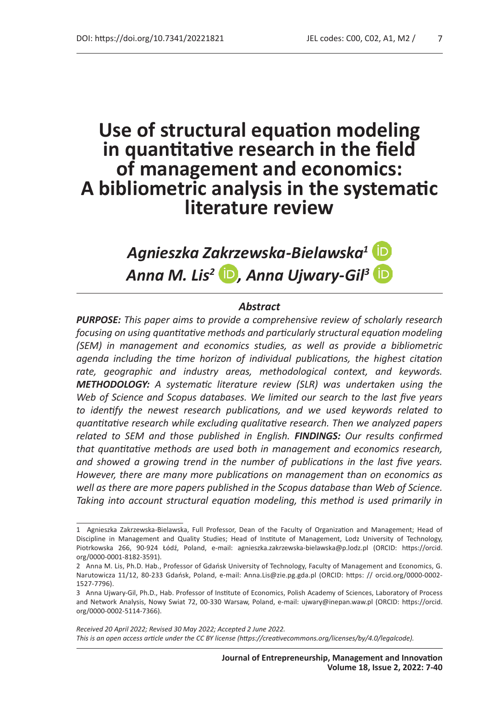# **Use of structural equation modeling in quantitative research in the field of management and economics: A bibliometric analysis in the systematic literature review**

*Agnieszka Zakrzewska-Bielawska1* Anna M. Lis<sup>2</sup> **D**, Anna Ujwary-Gil<sup>3</sup> D

#### *Abstract*

*PURPOSE: This paper aims to provide a comprehensive review of scholarly research focusing on using quantitative methods and particularly structural equation modeling (SEM) in management and economics studies, as well as provide a bibliometric agenda including the time horizon of individual publications, the highest citation rate, geographic and industry areas, methodological context, and keywords. METHODOLOGY: A systematic literature review (SLR) was undertaken using the Web of Science and Scopus databases. We limited our search to the last five years to identify the newest research publications, and we used keywords related to quantitative research while excluding qualitative research. Then we analyzed papers related to SEM and those published in English. FINDINGS: Our results confirmed that quantitative methods are used both in management and economics research, and showed a growing trend in the number of publications in the last five years. However, there are many more publications on management than on economics as well as there are more papers published in the Scopus database than Web of Science. Taking into account structural equation modeling, this method is used primarily in* 

*Received 20 April 2022; Revised 30 May 2022; Accepted 2 June 2022. This is an open access article under the CC BY license (https://creativecommons.org/licenses/by/4.0/legalcode).*

<sup>1</sup> Agnieszka Zakrzewska-Bielawska, Full Professor, Dean of the Faculty of Organization and Management; Head of Discipline in Management and Quality Studies; Head of Institute of Management, Lodz University of Technology, Piotrkowska 266, 90-924 Łódź, Poland, e-mail: agnieszka.zakrzewska-bielawska@p.lodz.pl (ORCID: https://orcid. org/0000-0001-8182-3591).

<sup>2</sup> Anna M. Lis, Ph.D. Hab., Professor of Gdańsk University of Technology, Faculty of Management and Economics, G. Narutowicza 11/12, 80-233 Gdańsk, Poland, e-mail: Anna.Lis@zie.pg.gda.pl (ORCID: https: // orcid.org/0000-0002- 1527-7796).

<sup>3</sup> Anna Ujwary-Gil, Ph.D., Hab. Professor of Institute of Economics, Polish Academy of Sciences, Laboratory of Process and Network Analysis, Nowy Swiat 72, 00-330 Warsaw, Poland, e-mail: ujwary@inepan.waw.pl (ORCID: https://orcid. org/0000-0002-5114-7366).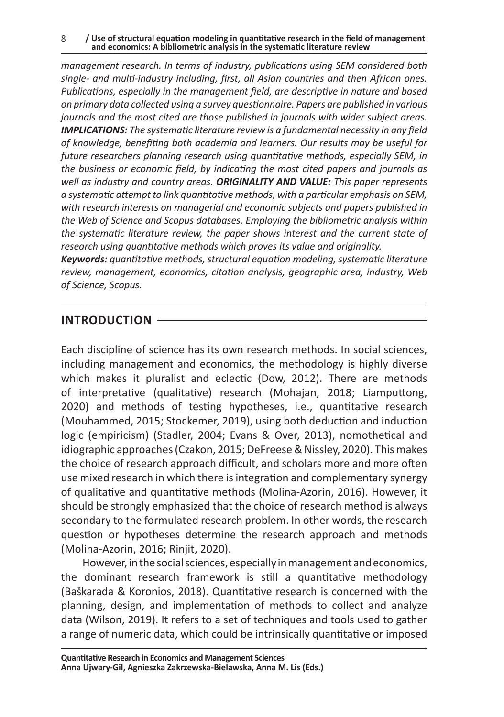*management research. In terms of industry, publications using SEM considered both single- and multi-industry including, first, all Asian countries and then African ones. Publications, especially in the management field, are descriptive in nature and based on primary data collected using a survey questionnaire. Papers are published in various journals and the most cited are those published in journals with wider subject areas. IMPLICATIONS: The systematic literature review is a fundamental necessity in any field of knowledge, benefiting both academia and learners. Our results may be useful for future researchers planning research using quantitative methods, especially SEM, in the business or economic field, by indicating the most cited papers and journals as well as industry and country areas. ORIGINALITY AND VALUE: This paper represents a systematic attempt to link quantitative methods, with a particular emphasis on SEM, with research interests on managerial and economic subjects and papers published in the Web of Science and Scopus databases. Employing the bibliometric analysis within the systematic literature review, the paper shows interest and the current state of research using quantitative methods which proves its value and originality.* 

*Keywords: quantitative methods, structural equation modeling, systematic literature review, management, economics, citation analysis, geographic area, industry, Web of Science, Scopus.*

## **INTRODUCTION**

Each discipline of science has its own research methods. In social sciences, including management and economics, the methodology is highly diverse which makes it pluralist and eclectic (Dow, 2012). There are methods of interpretative (qualitative) research (Mohajan, 2018; Liamputtong, 2020) and methods of testing hypotheses, i.e., quantitative research (Mouhammed, 2015; Stockemer, 2019), using both deduction and induction logic (empiricism) (Stadler, 2004; Evans & Over, 2013), nomothetical and idiographic approaches (Czakon, 2015; DeFreese & Nissley, 2020). This makes the choice of research approach difficult, and scholars more and more often use mixed research in which there is integration and complementary synergy of qualitative and quantitative methods (Molina-Azorin, 2016). However, it should be strongly emphasized that the choice of research method is always secondary to the formulated research problem. In other words, the research question or hypotheses determine the research approach and methods (Molina-Azorin, 2016; Rinjit, 2020).

However, in the social sciences, especially in management and economics, the dominant research framework is still a quantitative methodology (Baškarada & Koronios, 2018). Quantitative research is concerned with the planning, design, and implementation of methods to collect and analyze data (Wilson, 2019). It refers to a set of techniques and tools used to gather a range of numeric data, which could be intrinsically quantitative or imposed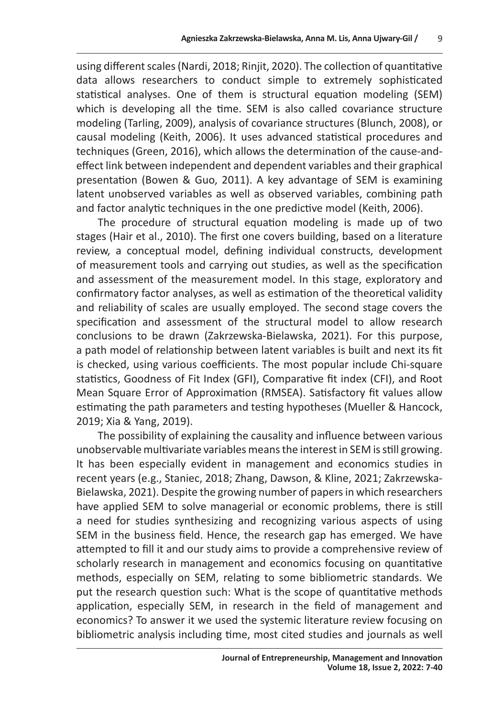using different scales (Nardi, 2018; Rinjit, 2020). The collection of quantitative data allows researchers to conduct simple to extremely sophisticated statistical analyses. One of them is structural equation modeling (SEM) which is developing all the time. SEM is also called covariance structure modeling (Tarling, 2009), analysis of covariance structures (Blunch, 2008), or causal modeling (Keith, 2006). It uses advanced statistical procedures and techniques (Green, 2016), which allows the determination of the cause-andeffect link between independent and dependent variables and their graphical presentation (Bowen & Guo, 2011). A key advantage of SEM is examining latent unobserved variables as well as observed variables, combining path and factor analytic techniques in the one predictive model (Keith, 2006).

The procedure of structural equation modeling is made up of two stages (Hair et al., 2010). The first one covers building, based on a literature review, a conceptual model, defining individual constructs, development of measurement tools and carrying out studies, as well as the specification and assessment of the measurement model. In this stage, exploratory and confirmatory factor analyses, as well as estimation of the theoretical validity and reliability of scales are usually employed. The second stage covers the specification and assessment of the structural model to allow research conclusions to be drawn (Zakrzewska-Bielawska, 2021). For this purpose, a path model of relationship between latent variables is built and next its fit is checked, using various coefficients. The most popular include Chi-square statistics, Goodness of Fit Index (GFI), Comparative fit index (CFI), and Root Mean Square Error of Approximation (RMSEA). Satisfactory fit values allow estimating the path parameters and testing hypotheses (Mueller & Hancock, 2019; Xia & Yang, 2019).

The possibility of explaining the causality and influence between various unobservable multivariate variables means the interest in SEM is still growing. It has been especially evident in management and economics studies in recent years (e.g., Staniec, 2018; Zhang, Dawson, & Kline, 2021; Zakrzewska-Bielawska, 2021). Despite the growing number of papers in which researchers have applied SEM to solve managerial or economic problems, there is still a need for studies synthesizing and recognizing various aspects of using SEM in the business field. Hence, the research gap has emerged. We have attempted to fill it and our study aims to provide a comprehensive review of scholarly research in management and economics focusing on quantitative methods, especially on SEM, relating to some bibliometric standards. We put the research question such: What is the scope of quantitative methods application, especially SEM, in research in the field of management and economics? To answer it we used the systemic literature review focusing on bibliometric analysis including time, most cited studies and journals as well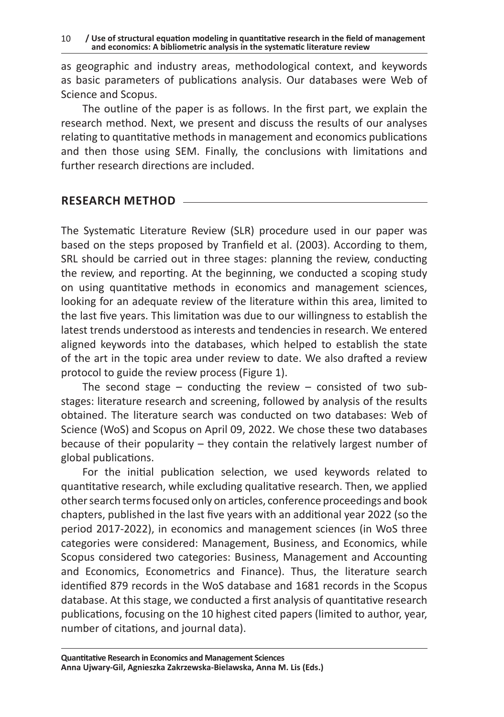as geographic and industry areas, methodological context, and keywords as basic parameters of publications analysis. Our databases were Web of Science and Scopus.

The outline of the paper is as follows. In the first part, we explain the research method. Next, we present and discuss the results of our analyses relating to quantitative methods in management and economics publications and then those using SEM. Finally, the conclusions with limitations and further research directions are included.

#### **RESEARCH METHOD**

The Systematic Literature Review (SLR) procedure used in our paper was based on the steps proposed by Tranfield et al. (2003). According to them, SRL should be carried out in three stages: planning the review, conducting the review, and reporting. At the beginning, we conducted a scoping study on using quantitative methods in economics and management sciences, looking for an adequate review of the literature within this area, limited to the last five years. This limitation was due to our willingness to establish the latest trends understood as interests and tendencies in research. We entered aligned keywords into the databases, which helped to establish the state of the art in the topic area under review to date. We also drafted a review protocol to guide the review process (Figure 1).

The second stage – conducting the review – consisted of two substages: literature research and screening, followed by analysis of the results obtained. The literature search was conducted on two databases: Web of Science (WoS) and Scopus on April 09, 2022. We chose these two databases because of their popularity – they contain the relatively largest number of global publications.

For the initial publication selection, we used keywords related to quantitative research, while excluding qualitative research. Then, we applied other search terms focused only on articles, conference proceedings and book chapters, published in the last five years with an additional year 2022 (so the period 2017-2022), in economics and management sciences (in WoS three categories were considered: Management, Business, and Economics, while Scopus considered two categories: Business, Management and Accounting and Economics, Econometrics and Finance). Thus, the literature search identified 879 records in the WoS database and 1681 records in the Scopus database. At this stage, we conducted a first analysis of quantitative research publications, focusing on the 10 highest cited papers (limited to author, year, number of citations, and journal data).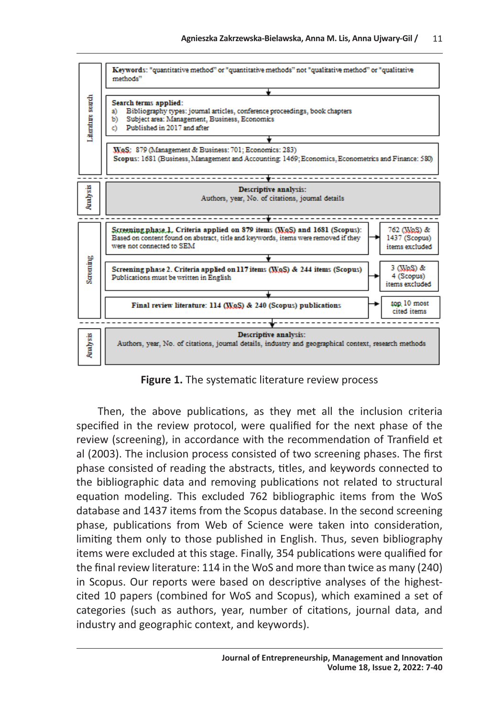

**Figure 1.** The systematic literature review process

Then, the above publications, as they met all the inclusion criteria specified in the review protocol, were qualified for the next phase of the review (screening), in accordance with the recommendation of Tranfield et al (2003). The inclusion process consisted of two screening phases. The first phase consisted of reading the abstracts, titles, and keywords connected to the bibliographic data and removing publications not related to structural equation modeling. This excluded 762 bibliographic items from the WoS database and 1437 items from the Scopus database. In the second screening phase, publications from Web of Science were taken into consideration, limiting them only to those published in English. Thus, seven bibliography items were excluded at this stage. Finally, 354 publications were qualified for the final review literature: 114 in the WoS and more than twice as many (240) in Scopus. Our reports were based on descriptive analyses of the highestcited 10 papers (combined for WoS and Scopus), which examined a set of categories (such as authors, year, number of citations, journal data, and industry and geographic context, and keywords).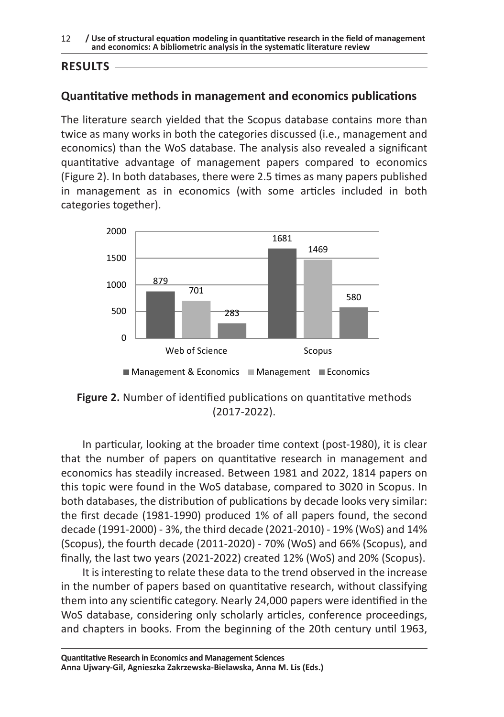12 **/ Use of structural equation modeling in quantitative research in the field of management and economics: A bibliometric analysis in the systematic literature review** 

### **RESULTS**

### **Quantitative methods in management and economics publications**

The literature search yielded that the Scopus database contains more than twice as many works in both the categories discussed (i.e., management and economics) than the WoS database. The analysis also revealed a significant quantitative advantage of management papers compared to economics (Figure 2). In both databases, there were 2.5 times as many papers published in management as in economics (with some articles included in both categories together).



 $M$ anagement & Economics  $M$ Management  $M$ Economics

**Figure 2.** Number of identified publications on quantitative methods (2017-2022).

In particular, looking at the broader time context (post-1980), it is clear that the number of papers on quantitative research in management and economics has steadily increased. Between 1981 and 2022, 1814 papers on this topic were found in the WoS database, compared to 3020 in Scopus. In both databases, the distribution of publications by decade looks very similar: the first decade (1981-1990) produced 1% of all papers found, the second decade (1991-2000) - 3%, the third decade (2021-2010) - 19% (WoS) and 14% (Scopus), the fourth decade (2011-2020) - 70% (WoS) and 66% (Scopus), and finally, the last two years (2021-2022) created 12% (WoS) and 20% (Scopus).

It is interesting to relate these data to the trend observed in the increase in the number of papers based on quantitative research, without classifying them into any scientific category. Nearly 24,000 papers were identified in the WoS database, considering only scholarly articles, conference proceedings, and chapters in books. From the beginning of the 20th century until 1963,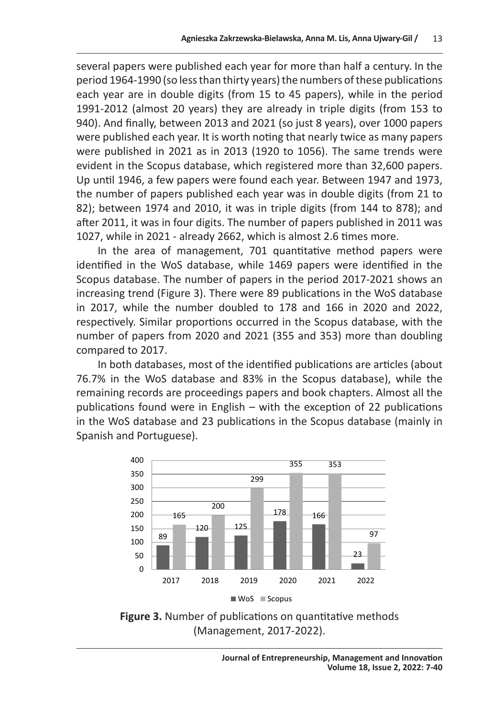several papers were published each year for more than half a century. In the period 1964-1990 (so less than thirty years) the numbers of these publications each year are in double digits (from 15 to 45 papers), while in the period 1991-2012 (almost 20 years) they are already in triple digits (from 153 to 940). And finally, between 2013 and 2021 (so just 8 years), over 1000 papers were published each year. It is worth noting that nearly twice as many papers were published in 2021 as in 2013 (1920 to 1056). The same trends were evident in the Scopus database, which registered more than 32,600 papers. Up until 1946, a few papers were found each year. Between 1947 and 1973, the number of papers published each year was in double digits (from 21 to 82); between 1974 and 2010, it was in triple digits (from 144 to 878); and after 2011, it was in four digits. The number of papers published in 2011 was 1027, while in 2021 - already 2662, which is almost 2.6 times more.

In the area of management, 701 quantitative method papers were identified in the WoS database, while 1469 papers were identified in the Scopus database. The number of papers in the period 2017-2021 shows an increasing trend (Figure 3). There were 89 publications in the WoS database in 2017, while the number doubled to 178 and 166 in 2020 and 2022, respectively. Similar proportions occurred in the Scopus database, with the number of papers from 2020 and 2021 (355 and 353) more than doubling compared to 2017.

In both databases, most of the identified publications are articles (about 76.7% in the WoS database and 83% in the Scopus database), while the remaining records are proceedings papers and book chapters. Almost all the publications found were in English – with the exception of 22 publications in the WoS database and 23 publications in the Scopus database (mainly in Spanish and Portuguese).



**Figure 3.** Number of publications on quantitative methods (Management, 2017-2022).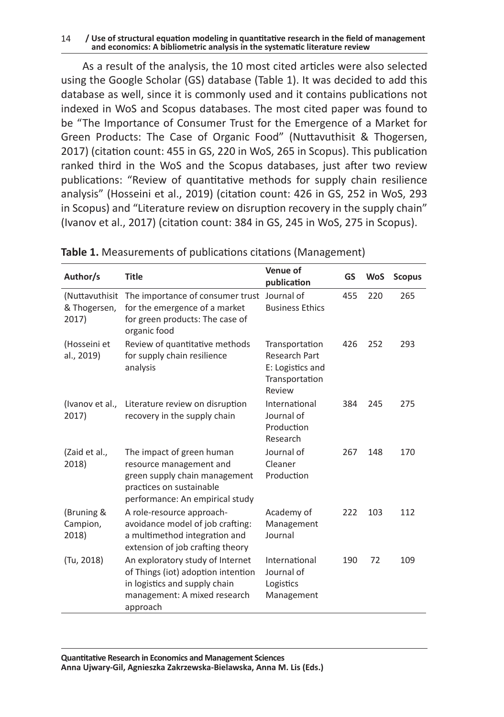#### 14 **/ Use of structural equation modeling in quantitative research in the field of management and economics: A bibliometric analysis in the systematic literature review**

As a result of the analysis, the 10 most cited articles were also selected using the Google Scholar (GS) database (Table 1). It was decided to add this database as well, since it is commonly used and it contains publications not indexed in WoS and Scopus databases. The most cited paper was found to be "The Importance of Consumer Trust for the Emergence of a Market for Green Products: The Case of Organic Food" (Nuttavuthisit & Thogersen, 2017) (citation count: 455 in GS, 220 in WoS, 265 in Scopus). This publication ranked third in the WoS and the Scopus databases, just after two review publications: "Review of quantitative methods for supply chain resilience analysis" (Hosseini et al., 2019) (citation count: 426 in GS, 252 in WoS, 293 in Scopus) and "Literature review on disruption recovery in the supply chain" (Ivanov et al., 2017) (citation count: 384 in GS, 245 in WoS, 275 in Scopus).

| Author/s                                | <b>Title</b>                                                                                                                                         | Venue of<br>publication                                                                | GS  | <b>WoS</b> | <b>Scopus</b> |
|-----------------------------------------|------------------------------------------------------------------------------------------------------------------------------------------------------|----------------------------------------------------------------------------------------|-----|------------|---------------|
| (Nuttavuthisit<br>& Thogersen,<br>2017) | The importance of consumer trust<br>for the emergence of a market<br>for green products: The case of<br>organic food                                 | Journal of<br><b>Business Ethics</b>                                                   | 455 | 220        | 265           |
| (Hosseini et<br>al., 2019)              | Review of quantitative methods<br>for supply chain resilience<br>analysis                                                                            | Transportation<br><b>Research Part</b><br>E: Logistics and<br>Transportation<br>Review | 426 | 252        | 293           |
| (Ivanov et al.,<br>2017)                | Literature review on disruption<br>recovery in the supply chain                                                                                      | International<br>Journal of<br>Production<br>Research                                  | 384 | 245        | 275           |
| (Zaid et al.,<br>2018)                  | The impact of green human<br>resource management and<br>green supply chain management<br>practices on sustainable<br>performance: An empirical study | Journal of<br>Cleaner<br>Production                                                    | 267 | 148        | 170           |
| (Bruning &<br>Campion,<br>2018)         | A role-resource approach-<br>avoidance model of job crafting:<br>a multimethod integration and<br>extension of job crafting theory                   | Academy of<br>Management<br>Journal                                                    | 222 | 103        | 112           |
| (Tu, 2018)                              | An exploratory study of Internet<br>of Things (iot) adoption intention<br>in logistics and supply chain<br>management: A mixed research<br>approach  | International<br>Journal of<br>Logistics<br>Management                                 | 190 | 72         | 109           |

|  |  |  |  | Table 1. Measurements of publications citations (Management) |
|--|--|--|--|--------------------------------------------------------------|
|--|--|--|--|--------------------------------------------------------------|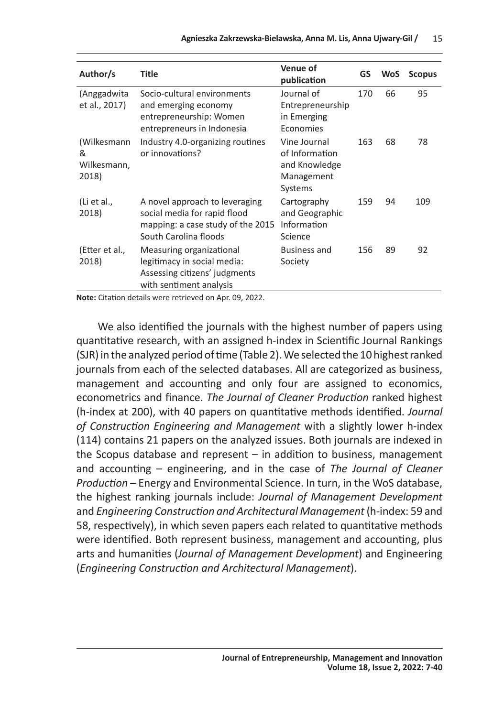| Author/s                                 | <b>Title</b>                                                                                                                 | Venue of<br>publication                                                  | GS  | <b>WoS</b> | <b>Scopus</b> |
|------------------------------------------|------------------------------------------------------------------------------------------------------------------------------|--------------------------------------------------------------------------|-----|------------|---------------|
| (Anggadwita<br>et al., 2017)             | Socio-cultural environments<br>and emerging economy<br>entrepreneurship: Women<br>entrepreneurs in Indonesia                 | Journal of<br>Entrepreneurship<br>in Emerging<br>Economies               | 170 | 66         | 95            |
| (Wilkesmann<br>&<br>Wilkesmann,<br>2018) | Industry 4.0-organizing routines<br>or innovations?                                                                          | Vine Journal<br>of Information<br>and Knowledge<br>Management<br>Systems | 163 | 68         | 78            |
| (Li et al.,<br>2018)                     | A novel approach to leveraging<br>social media for rapid flood<br>mapping: a case study of the 2015<br>South Carolina floods | Cartography<br>and Geographic<br>Information<br>Science                  | 159 | 94         | 109           |
| (Etter et al.,<br>2018)                  | Measuring organizational<br>legitimacy in social media:<br>Assessing citizens' judgments<br>with sentiment analysis          | Business and<br>Society                                                  | 156 | 89         | 92            |

**Note:** Citation details were retrieved on Apr. 09, 2022.

We also identified the journals with the highest number of papers using quantitative research, with an assigned h-index in Scientific Journal Rankings (SJR) in the analyzed period of time (Table 2). We selected the 10 highest ranked journals from each of the selected databases. All are categorized as business, management and accounting and only four are assigned to economics, econometrics and finance. *The Journal of Cleaner Production* ranked highest (h-index at 200), with 40 papers on quantitative methods identified. *Journal of Construction Engineering and Management* with a slightly lower h-index (114) contains 21 papers on the analyzed issues. Both journals are indexed in the Scopus database and represent – in addition to business, management and accounting – engineering, and in the case of *The Journal of Cleaner Production* – Energy and Environmental Science. In turn, in the WoS database, the highest ranking journals include: *Journal of Management Development* and *Engineering Construction and Architectural Management* (h-index: 59 and 58, respectively), in which seven papers each related to quantitative methods were identified. Both represent business, management and accounting, plus arts and humanities (*Journal of Management Development*) and Engineering (*Engineering Construction and Architectural Management*).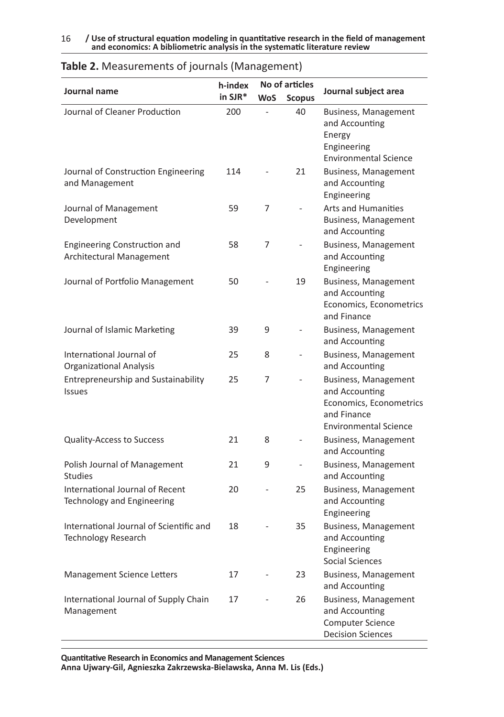|                                                                        | h-index |            | No of articles |                                                                                                                  |
|------------------------------------------------------------------------|---------|------------|----------------|------------------------------------------------------------------------------------------------------------------|
| Journal name                                                           | in SJR* | <b>WoS</b> | <b>Scopus</b>  | Journal subject area                                                                                             |
| Journal of Cleaner Production                                          | 200     |            | 40             | <b>Business, Management</b><br>and Accounting<br>Energy<br>Engineering<br><b>Environmental Science</b>           |
| Journal of Construction Engineering<br>and Management                  | 114     |            | 21             | Business, Management<br>and Accounting<br>Engineering                                                            |
| Journal of Management<br>Development                                   | 59      | 7          |                | <b>Arts and Humanities</b><br>Business, Management<br>and Accounting                                             |
| <b>Engineering Construction and</b><br><b>Architectural Management</b> | 58      | 7          |                | Business, Management<br>and Accounting<br>Engineering                                                            |
| Journal of Portfolio Management                                        | 50      |            | 19             | <b>Business, Management</b><br>and Accounting<br>Economics, Econometrics<br>and Finance                          |
| Journal of Islamic Marketing                                           | 39      | 9          |                | Business, Management<br>and Accounting                                                                           |
| International Journal of<br><b>Organizational Analysis</b>             | 25      | 8          | ÷,             | Business, Management<br>and Accounting                                                                           |
| <b>Entrepreneurship and Sustainability</b><br><b>Issues</b>            | 25      | 7          |                | Business, Management<br>and Accounting<br>Economics, Econometrics<br>and Finance<br><b>Environmental Science</b> |
| <b>Quality-Access to Success</b>                                       | 21      | 8          |                | Business, Management<br>and Accounting                                                                           |
| Polish Journal of Management<br><b>Studies</b>                         | 21      | 9          | $\blacksquare$ | Business, Management<br>and Accounting                                                                           |
| International Journal of Recent<br>Technology and Engineering          | 20      |            | 25             | Business, Management<br>and Accounting<br>Engineering                                                            |
| International Journal of Scientific and<br><b>Technology Research</b>  | 18      |            | 35             | <b>Business, Management</b><br>and Accounting<br>Engineering<br>Social Sciences                                  |
| <b>Management Science Letters</b>                                      | 17      |            | 23             | Business, Management<br>and Accounting                                                                           |
| International Journal of Supply Chain<br>Management                    | 17      |            | 26             | Business, Management<br>and Accounting<br><b>Computer Science</b><br><b>Decision Sciences</b>                    |

#### **Table 2.** Measurements of journals (Management)

**Quantitative Research in Economics and Management Sciences Anna Ujwary-Gil, Agnieszka Zakrzewska-Bielawska, Anna M. Lis (Eds.)**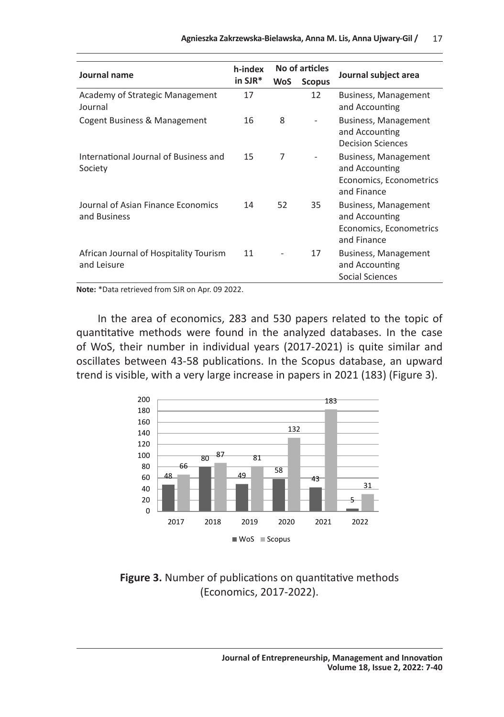| Journal name                                          | h-index |            | No of articles | Journal subject area                                                             |  |  |
|-------------------------------------------------------|---------|------------|----------------|----------------------------------------------------------------------------------|--|--|
|                                                       | in SJR* | <b>WoS</b> | <b>Scopus</b>  |                                                                                  |  |  |
| Academy of Strategic Management<br>Journal            | 17      |            | 12             | Business, Management<br>and Accounting                                           |  |  |
| Cogent Business & Management                          | 16      | 8          |                | Business, Management<br>and Accounting<br><b>Decision Sciences</b>               |  |  |
| International Journal of Business and<br>Society      | 15      | 7          |                | Business, Management<br>and Accounting<br>Economics, Econometrics<br>and Finance |  |  |
| Journal of Asian Finance Economics<br>and Business    | 14      | 52         | 35             | Business, Management<br>and Accounting<br>Economics, Econometrics<br>and Finance |  |  |
| African Journal of Hospitality Tourism<br>and Leisure | 11      |            | 17             | Business, Management<br>and Accounting<br>Social Sciences                        |  |  |

**Note:** \*Data retrieved from SJR on Apr. 09 2022.

In the area of economics, 283 and 530 papers related to the topic of quantitative methods were found in the analyzed databases. In the case of WoS, their number in individual years (2017-2021) is quite similar and oscillates between 43-58 publications. In the Scopus database, an upward trend is visible, with a very large increase in papers in 2021 (183) (Figure 3).



#### **Figure 3.** Number of publications on quantitative methods (Economics, 2017-2022).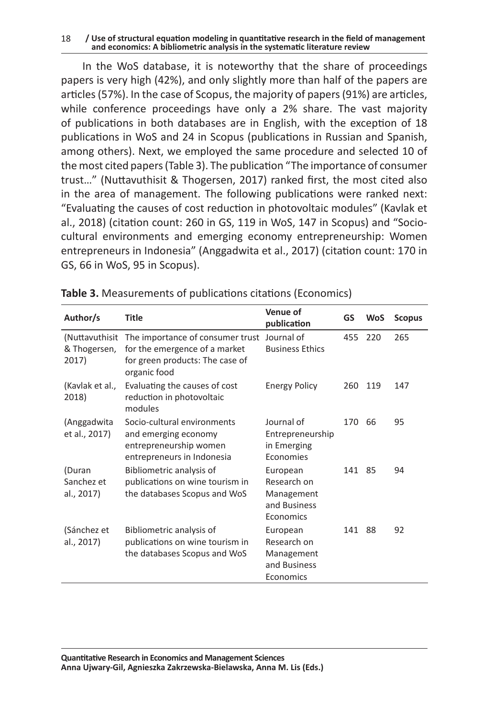#### 18 **/ Use of structural equation modeling in quantitative research in the field of management and economics: A bibliometric analysis in the systematic literature review**

In the WoS database, it is noteworthy that the share of proceedings papers is very high (42%), and only slightly more than half of the papers are articles (57%). In the case of Scopus, the majority of papers (91%) are articles, while conference proceedings have only a 2% share. The vast majority of publications in both databases are in English, with the exception of 18 publications in WoS and 24 in Scopus (publications in Russian and Spanish, among others). Next, we employed the same procedure and selected 10 of the most cited papers (Table 3). The publication "The importance of consumer trust…" (Nuttavuthisit & Thogersen, 2017) ranked first, the most cited also in the area of management. The following publications were ranked next: "Evaluating the causes of cost reduction in photovoltaic modules" (Kavlak et al., 2018) (citation count: 260 in GS, 119 in WoS, 147 in Scopus) and "Sociocultural environments and emerging economy entrepreneurship: Women entrepreneurs in Indonesia" (Anggadwita et al., 2017) (citation count: 170 in GS, 66 in WoS, 95 in Scopus).

| Author/s                                | Title                                                                                                                | Venue of<br>publication                                            | GS  | <b>WoS</b> | <b>Scopus</b> |
|-----------------------------------------|----------------------------------------------------------------------------------------------------------------------|--------------------------------------------------------------------|-----|------------|---------------|
| (Nuttavuthisit<br>& Thogersen,<br>2017) | The importance of consumer trust<br>for the emergence of a market<br>for green products: The case of<br>organic food | Journal of<br><b>Business Ethics</b>                               | 455 | 220        | 265           |
| (Kavlak et al.,<br>2018)                | Evaluating the causes of cost<br>reduction in photovoltaic<br>modules                                                | <b>Energy Policy</b>                                               | 260 | 119        | 147           |
| (Anggadwita<br>et al., 2017)            | Socio-cultural environments<br>and emerging economy<br>entrepreneurship women<br>entrepreneurs in Indonesia          | Journal of<br>Entrepreneurship<br>in Emerging<br>Economies         | 170 | 66         | 95            |
| (Duran<br>Sanchez et<br>al., 2017)      | Bibliometric analysis of<br>publications on wine tourism in<br>the databases Scopus and WoS                          | European<br>Research on<br>Management<br>and Business<br>Economics | 141 | 85         | 94            |
| (Sánchez et<br>al., 2017)               | Bibliometric analysis of<br>publications on wine tourism in<br>the databases Scopus and WoS                          | European<br>Research on<br>Management<br>and Business<br>Economics | 141 | 88         | 92            |

**Table 3.** Measurements of publications citations (Economics)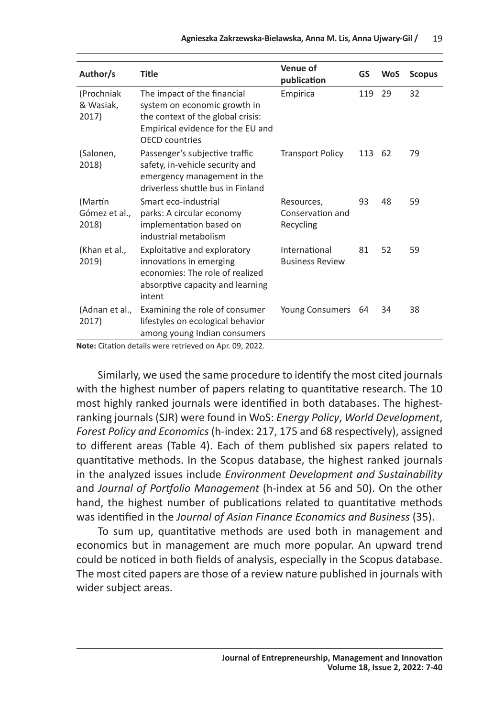| Author/s                          | Title                                                                                                                                                          | Venue of<br>publication                     | GS  | <b>WoS</b> | <b>Scopus</b> |
|-----------------------------------|----------------------------------------------------------------------------------------------------------------------------------------------------------------|---------------------------------------------|-----|------------|---------------|
| (Prochniak<br>& Wasiak,<br>2017)  | The impact of the financial<br>system on economic growth in<br>the context of the global crisis:<br>Empirical evidence for the EU and<br><b>OFCD</b> countries | Empirica                                    | 119 | 29         | 32            |
| (Salonen,<br>2018)                | Passenger's subjective traffic<br>safety, in-vehicle security and<br>emergency management in the<br>driverless shuttle bus in Finland                          | <b>Transport Policy</b>                     | 113 | 62         | 79            |
| (Martín<br>Gómez et al.,<br>2018) | Smart eco-industrial<br>parks: A circular economy<br>implementation based on<br>industrial metabolism                                                          | Resources,<br>Conservation and<br>Recycling | 93  | 48         | 59            |
| (Khan et al.,<br>2019)            | Exploitative and exploratory<br>innovations in emerging<br>economies: The role of realized<br>absorptive capacity and learning<br>intent                       | International<br><b>Business Review</b>     | 81  | 52         | 59            |
| (Adnan et al.,<br>2017)           | Examining the role of consumer<br>lifestyles on ecological behavior<br>among young Indian consumers                                                            | <b>Young Consumers</b>                      | 64  | 34         | 38            |

**Note:** Citation details were retrieved on Apr. 09, 2022.

Similarly, we used the same procedure to identify the most cited journals with the highest number of papers relating to quantitative research. The 10 most highly ranked journals were identified in both databases. The highestranking journals (SJR) were found in WoS: *Energy Policy*, *World Development*, *Forest Policy and Economics* (h-index: 217, 175 and 68 respectively), assigned to different areas (Table 4). Each of them published six papers related to quantitative methods. In the Scopus database, the highest ranked journals in the analyzed issues include *Environment Development and Sustainability*  and *Journal of Portfolio Management* (h-index at 56 and 50). On the other hand, the highest number of publications related to quantitative methods was identified in the *Journal of Asian Finance Economics and Business* (35).

To sum up, quantitative methods are used both in management and economics but in management are much more popular. An upward trend could be noticed in both fields of analysis, especially in the Scopus database. The most cited papers are those of a review nature published in journals with wider subject areas.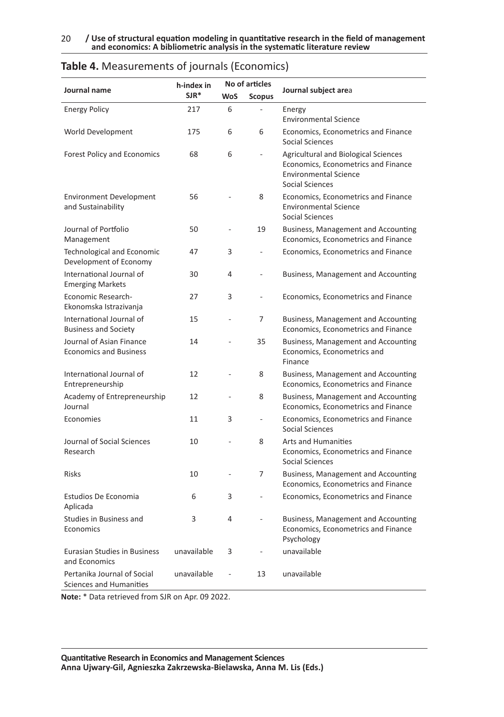|                                                               | h-index in  |            | No of articles |                                                                                                                                       |
|---------------------------------------------------------------|-------------|------------|----------------|---------------------------------------------------------------------------------------------------------------------------------------|
| Journal name                                                  | $S$ JR $*$  | <b>WoS</b> | <b>Scopus</b>  | Journal subject area                                                                                                                  |
| <b>Energy Policy</b>                                          | 217         | 6          |                | Energy<br><b>Environmental Science</b>                                                                                                |
| World Development                                             | 175         | 6          | 6              | Economics, Econometrics and Finance<br>Social Sciences                                                                                |
| <b>Forest Policy and Economics</b>                            | 68          | 6          | L.             | <b>Agricultural and Biological Sciences</b><br>Economics, Econometrics and Finance<br><b>Environmental Science</b><br>Social Sciences |
| <b>Environment Development</b><br>and Sustainability          | 56          |            | 8              | Economics, Econometrics and Finance<br><b>Environmental Science</b><br><b>Social Sciences</b>                                         |
| Journal of Portfolio<br>Management                            | 50          | ä,         | 19             | Business, Management and Accounting<br>Economics, Econometrics and Finance                                                            |
| Technological and Economic<br>Development of Economy          | 47          | 3          |                | Economics, Econometrics and Finance                                                                                                   |
| International Journal of<br><b>Emerging Markets</b>           | 30          | 4          |                | Business, Management and Accounting                                                                                                   |
| Economic Research-<br>Ekonomska Istrazivanja                  | 27          | 3          | ä,             | Economics, Econometrics and Finance                                                                                                   |
| International Journal of<br><b>Business and Society</b>       | 15          |            | $\overline{7}$ | Business, Management and Accounting<br>Economics, Econometrics and Finance                                                            |
| Journal of Asian Finance<br><b>Economics and Business</b>     | 14          |            | 35             | Business, Management and Accounting<br>Economics, Econometrics and<br>Finance                                                         |
| International Journal of<br>Entrepreneurship                  | 12          |            | 8              | Business, Management and Accounting<br>Economics, Econometrics and Finance                                                            |
| Academy of Entrepreneurship<br>Journal                        | 12          |            | 8              | Business, Management and Accounting<br>Economics, Econometrics and Finance                                                            |
| Economies                                                     | 11          | 3          | ÷,             | Economics, Econometrics and Finance<br>Social Sciences                                                                                |
| Journal of Social Sciences<br>Research                        | 10          |            | 8              | <b>Arts and Humanities</b><br>Economics, Econometrics and Finance<br><b>Social Sciences</b>                                           |
| <b>Risks</b>                                                  | 10          |            | $\overline{7}$ | Business, Management and Accounting<br>Economics, Econometrics and Finance                                                            |
| Estudios De Economia<br>Aplicada                              | 6           | 3          |                | Economics, Econometrics and Finance                                                                                                   |
| Studies in Business and<br>Economics                          | 3           | 4          | $\sim$         | Business, Management and Accounting<br>Economics, Econometrics and Finance<br>Psychology                                              |
| Eurasian Studies in Business<br>and Economics                 | unavailable | 3          |                | unavailable                                                                                                                           |
| Pertanika Journal of Social<br><b>Sciences and Humanities</b> | unavailable |            | 13             | unavailable                                                                                                                           |

#### **Table 4.** Measurements of journals (Economics)

**Note:** \* Data retrieved from SJR on Apr. 09 2022.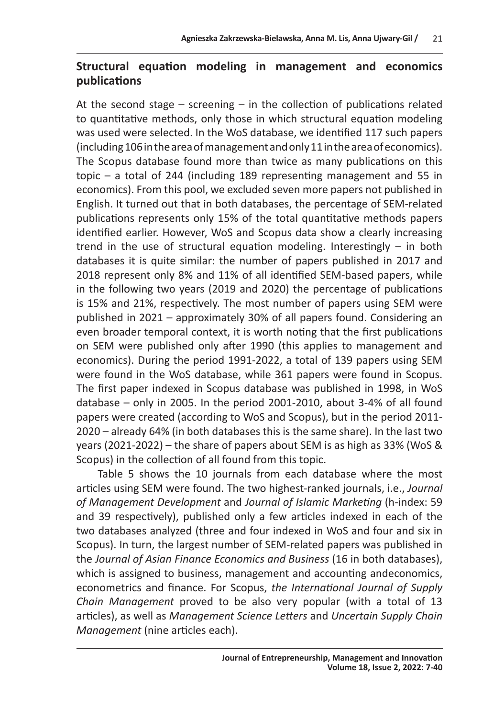# **Structural equation modeling in management and economics publications**

At the second stage – screening – in the collection of publications related to quantitative methods, only those in which structural equation modeling was used were selected. In the WoS database, we identified 117 such papers (including 106 in the area of management and only 11 in the area of economics). The Scopus database found more than twice as many publications on this topic – a total of 244 (including 189 representing management and 55 in economics). From this pool, we excluded seven more papers not published in English. It turned out that in both databases, the percentage of SEM-related publications represents only 15% of the total quantitative methods papers identified earlier. However, WoS and Scopus data show a clearly increasing trend in the use of structural equation modeling. Interestingly – in both databases it is quite similar: the number of papers published in 2017 and 2018 represent only 8% and 11% of all identified SEM-based papers, while in the following two years (2019 and 2020) the percentage of publications is 15% and 21%, respectively. The most number of papers using SEM were published in 2021 – approximately 30% of all papers found. Considering an even broader temporal context, it is worth noting that the first publications on SEM were published only after 1990 (this applies to management and economics). During the period 1991-2022, a total of 139 papers using SEM were found in the WoS database, while 361 papers were found in Scopus. The first paper indexed in Scopus database was published in 1998, in WoS database – only in 2005. In the period 2001-2010, about 3-4% of all found papers were created (according to WoS and Scopus), but in the period 2011- 2020 – already 64% (in both databases this is the same share). In the last two years (2021-2022) – the share of papers about SEM is as high as 33% (WoS & Scopus) in the collection of all found from this topic.

Table 5 shows the 10 journals from each database where the most articles using SEM were found. The two highest-ranked journals, i.e., *Journal of Management Development* and *Journal of Islamic Marketing* (h-index: 59 and 39 respectively), published only a few articles indexed in each of the two databases analyzed (three and four indexed in WoS and four and six in Scopus). In turn, the largest number of SEM-related papers was published in the *Journal of Asian Finance Economics and Business* (16 in both databases), which is assigned to business, management and accounting andeconomics, econometrics and finance. For Scopus, *the International Journal of Supply Chain Management* proved to be also very popular (with a total of 13 articles), as well as *Management Science Letters* and *Uncertain Supply Chain Management* (nine articles each).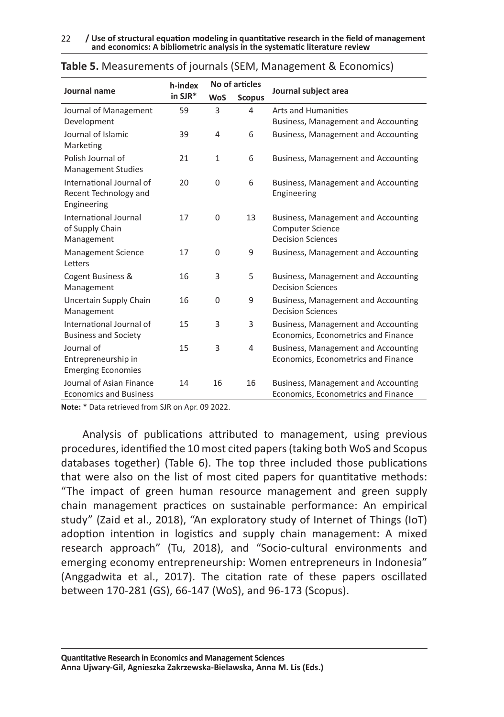|                                                                  | h-index | No of articles |               |                                                                                            |  |  |
|------------------------------------------------------------------|---------|----------------|---------------|--------------------------------------------------------------------------------------------|--|--|
| Journal name                                                     | in SJR* | <b>WoS</b>     | <b>Scopus</b> | Journal subject area                                                                       |  |  |
| Journal of Management<br>Development                             | 59      | 3              | 4             | Arts and Humanities<br>Business, Management and Accounting                                 |  |  |
| Journal of Islamic<br>Marketing                                  | 39      | 4              | 6             | Business, Management and Accounting                                                        |  |  |
| Polish Journal of<br><b>Management Studies</b>                   | 21      | $\mathbf{1}$   | 6             | Business, Management and Accounting                                                        |  |  |
| International Journal of<br>Recent Technology and<br>Engineering | 20      | 0              | 6             | Business, Management and Accounting<br>Engineering                                         |  |  |
| International Journal<br>of Supply Chain<br>Management           | 17      | 0              | 13            | Business, Management and Accounting<br><b>Computer Science</b><br><b>Decision Sciences</b> |  |  |
| <b>Management Science</b><br>Letters                             | 17      | $\Omega$       | 9             | Business, Management and Accounting                                                        |  |  |
| Cogent Business &<br>Management                                  | 16      | 3              | 5             | Business, Management and Accounting<br><b>Decision Sciences</b>                            |  |  |
| Uncertain Supply Chain<br>Management                             | 16      | 0              | 9             | Business, Management and Accounting<br><b>Decision Sciences</b>                            |  |  |
| International Journal of<br><b>Business and Society</b>          | 15      | 3              | 3             | Business, Management and Accounting<br>Economics, Econometrics and Finance                 |  |  |
| Journal of<br>Entrepreneurship in<br><b>Emerging Economies</b>   | 15      | 3              | 4             | Business, Management and Accounting<br>Economics, Econometrics and Finance                 |  |  |
| Journal of Asian Finance<br><b>Economics and Business</b>        | 14      | 16             | 16            | Business, Management and Accounting<br>Economics, Econometrics and Finance                 |  |  |

| Table 5. Measurements of journals (SEM, Management & Economics) |  |
|-----------------------------------------------------------------|--|
|-----------------------------------------------------------------|--|

**Note:** \* Data retrieved from SJR on Apr. 09 2022.

Analysis of publications attributed to management, using previous procedures, identified the 10 most cited papers (taking both WoS and Scopus databases together) (Table 6). The top three included those publications that were also on the list of most cited papers for quantitative methods: "The impact of green human resource management and green supply chain management practices on sustainable performance: An empirical study" (Zaid et al., 2018), "An exploratory study of Internet of Things (IoT) adoption intention in logistics and supply chain management: A mixed research approach" (Tu, 2018), and "Socio-cultural environments and emerging economy entrepreneurship: Women entrepreneurs in Indonesia" (Anggadwita et al., 2017). The citation rate of these papers oscillated between 170-281 (GS), 66-147 (WoS), and 96-173 (Scopus).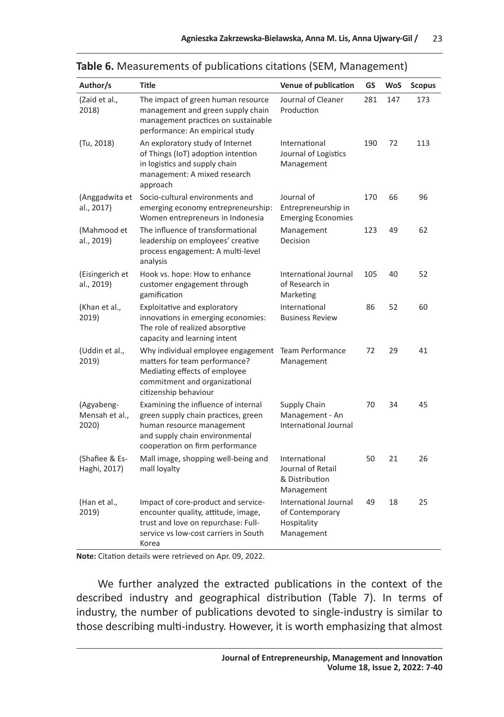| Author/s                              | <b>Title</b>                                                                                                                                                                 | Venue of publication                                                  | GS  | <b>WoS</b> | <b>Scopus</b> |
|---------------------------------------|------------------------------------------------------------------------------------------------------------------------------------------------------------------------------|-----------------------------------------------------------------------|-----|------------|---------------|
| (Zaid et al.,<br>2018)                | The impact of green human resource<br>management and green supply chain<br>management practices on sustainable<br>performance: An empirical study                            | Journal of Cleaner<br>Production                                      | 281 | 147        | 173           |
| (Tu, 2018)                            | An exploratory study of Internet<br>of Things (IoT) adoption intention<br>in logistics and supply chain<br>management: A mixed research<br>approach                          | International<br>Journal of Logistics<br>Management                   | 190 | 72         | 113           |
| (Anggadwita et<br>al., 2017)          | Socio-cultural environments and<br>emerging economy entrepreneurship:<br>Women entrepreneurs in Indonesia                                                                    | Journal of<br>Entrepreneurship in<br><b>Emerging Economies</b>        | 170 | 66         | 96            |
| (Mahmood et<br>al., 2019)             | The influence of transformational<br>leadership on employees' creative<br>process engagement: A multi-level<br>analysis                                                      | Management<br>Decision                                                | 123 | 49         | 62            |
| (Eisingerich et<br>al., 2019)         | Hook vs. hope: How to enhance<br>customer engagement through<br>gamification                                                                                                 | International Journal<br>of Research in<br>Marketing                  | 105 | 40         | 52            |
| (Khan et al.,<br>2019)                | Exploitative and exploratory<br>innovations in emerging economies:<br>The role of realized absorptive<br>capacity and learning intent                                        | International<br><b>Business Review</b>                               | 86  | 52         | 60            |
| (Uddin et al.,<br>2019)               | Why individual employee engagement<br>matters for team performance?<br>Mediating effects of employee<br>commitment and organizational<br>citizenship behaviour               | Team Performance<br>Management                                        | 72  | 29         | 41            |
| (Agyabeng-<br>Mensah et al.,<br>2020) | Examining the influence of internal<br>green supply chain practices, green<br>human resource management<br>and supply chain environmental<br>cooperation on firm performance | Supply Chain<br>Management - An<br>International Journal              | 70  | 34         | 45            |
| (Shafiee & Es-<br>Haghi, 2017)        | Mall image, shopping well-being and<br>mall loyalty                                                                                                                          | International<br>Journal of Retail<br>& Distribution<br>Management    | 50  | 21         | 26            |
| (Han et al.,<br>2019)                 | Impact of core-product and service-<br>encounter quality, attitude, image,<br>trust and love on repurchase: Full-<br>service vs low-cost carriers in South<br>Korea          | International Journal<br>of Contemporary<br>Hospitality<br>Management | 49  | 18         | 25            |

#### **Table 6.** Measurements of publications citations (SEM, Management)

**Note:** Citation details were retrieved on Apr. 09, 2022.

We further analyzed the extracted publications in the context of the described industry and geographical distribution (Table 7). In terms of industry, the number of publications devoted to single-industry is similar to those describing multi-industry. However, it is worth emphasizing that almost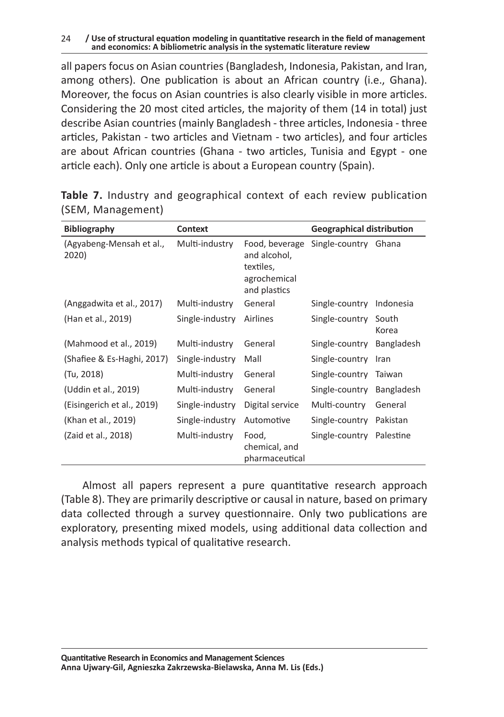#### $24$ **/ Use of structural equation modeling in quantitative research in the field of management and economics: A bibliometric analysis in the systematic literature review**

all papers focus on Asian countries (Bangladesh, Indonesia, Pakistan, and Iran, among others). One publication is about an African country (i.e., Ghana). Moreover, the focus on Asian countries is also clearly visible in more articles. Considering the 20 most cited articles, the majority of them (14 in total) just describe Asian countries (mainly Bangladesh - three articles, Indonesia - three articles, Pakistan - two articles and Vietnam - two articles), and four articles are about African countries (Ghana - two articles, Tunisia and Egypt - one article each). Only one article is about a European country (Spain).

| <b>Bibliography</b><br><b>Context</b> |                 |                                                                             | <b>Geographical distribution</b> |                   |
|---------------------------------------|-----------------|-----------------------------------------------------------------------------|----------------------------------|-------------------|
| (Agyabeng-Mensah et al.,<br>2020)     | Multi-industry  | Food, beverage<br>and alcohol,<br>textiles,<br>agrochemical<br>and plastics | Single-country Ghana             |                   |
| (Anggadwita et al., 2017)             | Multi-industry  | General                                                                     | Single-country                   | Indonesia         |
| (Han et al., 2019)                    | Single-industry | Airlines                                                                    | Single-country                   | South<br>Korea    |
| (Mahmood et al., 2019)                | Multi-industry  | General                                                                     | Single-country                   | <b>Bangladesh</b> |
| (Shafiee & Es-Haghi, 2017)            | Single-industry | Mall                                                                        | Single-country                   | Iran              |
| (Tu, 2018)                            | Multi-industry  | General                                                                     | Single-country                   | Taiwan            |
| (Uddin et al., 2019)                  | Multi-industry  | General                                                                     | Single-country                   | <b>Bangladesh</b> |
| (Eisingerich et al., 2019)            | Single-industry | Digital service                                                             | Multi-country                    | General           |
| (Khan et al., 2019)                   | Single-industry | Automotive                                                                  | Single-country                   | Pakistan          |
| (Zaid et al., 2018)                   | Multi-industry  | Food,<br>chemical, and<br>pharmaceutical                                    | Single-country Palestine         |                   |

**Table 7.** Industry and geographical context of each review publication (SEM, Management)

Almost all papers represent a pure quantitative research approach (Table 8). They are primarily descriptive or causal in nature, based on primary data collected through a survey questionnaire. Only two publications are exploratory, presenting mixed models, using additional data collection and analysis methods typical of qualitative research.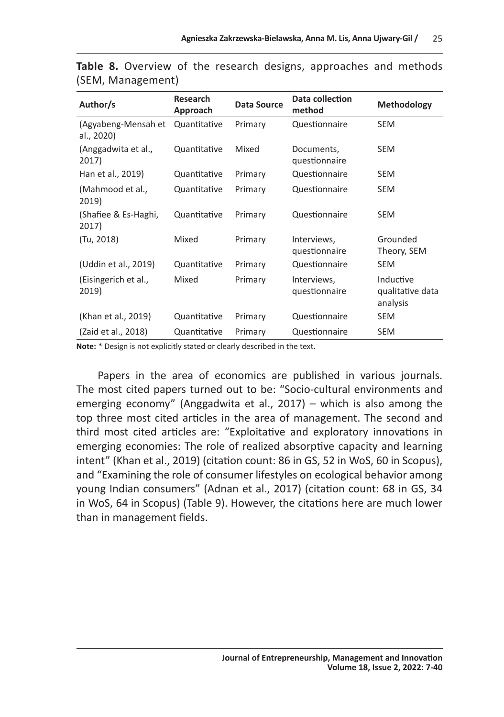| Author/s                          | Research<br>Approach | Data Source | Data collection<br>method    | Methodology                               |
|-----------------------------------|----------------------|-------------|------------------------------|-------------------------------------------|
| (Agyabeng-Mensah et<br>al., 2020) | Quantitative         | Primary     | Questionnaire                | <b>SEM</b>                                |
| (Anggadwita et al.,<br>2017)      | Quantitative         | Mixed       | Documents,<br>questionnaire  | SEM                                       |
| Han et al., 2019)                 | Quantitative         | Primary     | Questionnaire                | SEM                                       |
| (Mahmood et al.,<br>2019)         | Quantitative         | Primary     | Questionnaire                | SEM                                       |
| (Shafiee & Es-Haghi,<br>2017)     | Quantitative         | Primary     | Questionnaire                | SEM                                       |
| (Tu, 2018)                        | Mixed                | Primary     | Interviews,<br>questionnaire | Grounded<br>Theory, SEM                   |
| (Uddin et al., 2019)              | Quantitative         | Primary     | Questionnaire                | SEM                                       |
| (Eisingerich et al.,<br>2019)     | Mixed                | Primary     | Interviews,<br>questionnaire | Inductive<br>qualitative data<br>analysis |
| (Khan et al., 2019)               | Quantitative         | Primary     | Questionnaire                | <b>SEM</b>                                |
| (Zaid et al., 2018)               | Quantitative         | Primary     | Questionnaire                | SEM                                       |

**Table 8.** Overview of the research designs, approaches and methods (SEM, Management)

**Note:** \* Design is not explicitly stated or clearly described in the text.

Papers in the area of economics are published in various journals. The most cited papers turned out to be: "Socio-cultural environments and emerging economy" (Anggadwita et al., 2017) – which is also among the top three most cited articles in the area of management. The second and third most cited articles are: "Exploitative and exploratory innovations in emerging economies: The role of realized absorptive capacity and learning intent" (Khan et al., 2019) (citation count: 86 in GS, 52 in WoS, 60 in Scopus), and "Examining the role of consumer lifestyles on ecological behavior among young Indian consumers" (Adnan et al., 2017) (citation count: 68 in GS, 34 in WoS, 64 in Scopus) (Table 9). However, the citations here are much lower than in management fields.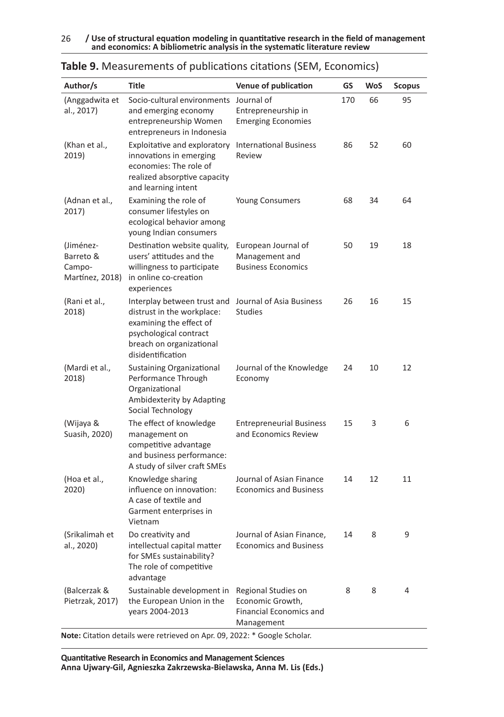26 **/ Use of structural equation modeling in quantitative research in the field of management and economics: A bibliometric analysis in the systematic literature review** 

| Author/s                                            | <b>Title</b>                                                                                                                                                    | Venue of publication                                                                    | GS  | <b>WoS</b> | Scopus |
|-----------------------------------------------------|-----------------------------------------------------------------------------------------------------------------------------------------------------------------|-----------------------------------------------------------------------------------------|-----|------------|--------|
| (Anggadwita et<br>al., 2017)                        | Socio-cultural environments<br>and emerging economy<br>entrepreneurship Women<br>entrepreneurs in Indonesia                                                     | Journal of<br>Entrepreneurship in<br><b>Emerging Economies</b>                          | 170 | 66         | 95     |
| (Khan et al.,<br>2019)                              | Exploitative and exploratory<br>innovations in emerging<br>economies: The role of<br>realized absorptive capacity<br>and learning intent                        | <b>International Business</b><br>Review                                                 | 86  | 52         | 60     |
| (Adnan et al.,<br>2017)                             | Examining the role of<br>consumer lifestyles on<br>ecological behavior among<br>young Indian consumers                                                          | <b>Young Consumers</b>                                                                  | 68  | 34         | 64     |
| (Jiménez-<br>Barreto &<br>Campo-<br>Martínez, 2018) | Destination website quality,<br>users' attitudes and the<br>willingness to participate<br>in online co-creation<br>experiences                                  | European Journal of<br>Management and<br><b>Business Economics</b>                      | 50  | 19         | 18     |
| (Rani et al.,<br>2018)                              | Interplay between trust and<br>distrust in the workplace:<br>examining the effect of<br>psychological contract<br>breach on organizational<br>disidentification | Journal of Asia Business<br><b>Studies</b>                                              | 26  | 16         | 15     |
| (Mardi et al.,<br>2018)                             | <b>Sustaining Organizational</b><br>Performance Through<br>Organizational<br>Ambidexterity by Adapting<br>Social Technology                                     | Journal of the Knowledge<br>Economy                                                     | 24  | 10         | 12     |
| (Wijaya &<br>Suasih, 2020)                          | The effect of knowledge<br>management on<br>competitive advantage<br>and business performance:<br>A study of silver craft SMEs                                  | <b>Entrepreneurial Business</b><br>and Economics Review                                 | 15  | 3          | 6      |
| (Hoa et al.,<br>2020)                               | Knowledge sharing<br>influence on innovation:<br>A case of textile and<br>Garment enterprises in<br>Vietnam                                                     | Journal of Asian Finance<br><b>Economics and Business</b>                               | 14  | 12         | 11     |
| (Srikalimah et<br>al., 2020)                        | Do creativity and<br>intellectual capital matter<br>for SMEs sustainability?<br>The role of competitive<br>advantage                                            | Journal of Asian Finance,<br><b>Economics and Business</b>                              | 14  | 8          | 9      |
| (Balcerzak &<br>Pietrzak, 2017)                     | Sustainable development in<br>the European Union in the<br>years 2004-2013<br>Note: Citation details were retrieved on Apr. 09, 2022: * Google Scholar.         | Regional Studies on<br>Economic Growth,<br><b>Financial Economics and</b><br>Management | 8   | 8          | 4      |

| Table 9. Measurements of publications citations (SEM, Economics) |
|------------------------------------------------------------------|
|                                                                  |

**Quantitative Research in Economics and Management Sciences Anna Ujwary-Gil, Agnieszka Zakrzewska-Bielawska, Anna M. Lis (Eds.)**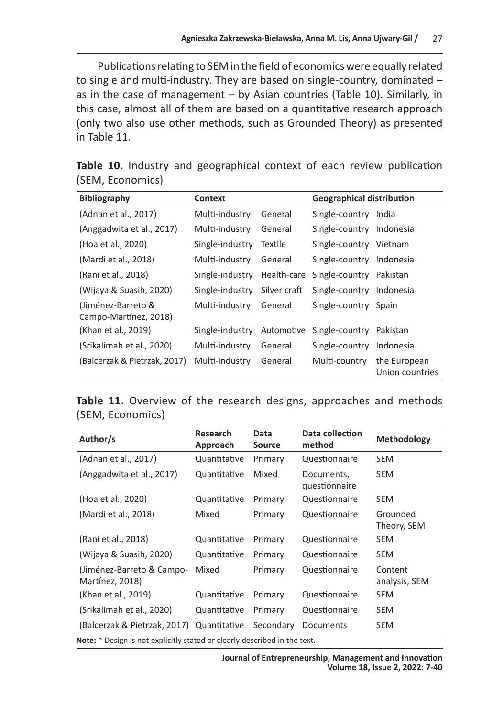Publications relating to SEM in the field of economics were equally related to single and multi-industry. They are based on single-country, dominated – as in the case of management – by Asian countries (Table 10). Similarly, in this case, almost all of them are based on a quantitative research approach (only two also use other methods, such as Grounded Theory) as presented in Table 11.

|  |                  | Table 10. Industry and geographical context of each review publication |  |  |  |
|--|------------------|------------------------------------------------------------------------|--|--|--|
|  | (SEM, Economics) |                                                                        |  |  |  |

| <b>Bibliography</b>                         | <b>Context</b>  |              | <b>Geographical distribution</b> |                                 |
|---------------------------------------------|-----------------|--------------|----------------------------------|---------------------------------|
| (Adnan et al., 2017)                        | Multi-industry  | General      | Single-country India             |                                 |
| (Anggadwita et al., 2017)                   | Multi-industry  | General      | Single-country Indonesia         |                                 |
| (Hoa et al., 2020)                          | Single-industry | Textile      | Single-country Vietnam           |                                 |
| (Mardi et al., 2018)                        | Multi-industry  | General      | Single-country Indonesia         |                                 |
| (Rani et al., 2018)                         | Single-industry | Health-care  | Single-country Pakistan          |                                 |
| (Wijaya & Suasih, 2020)                     | Single-industry | Silver craft | Single-country Indonesia         |                                 |
| (Jiménez-Barreto &<br>Campo-Martínez, 2018) | Multi-industry  | General      | Single-country Spain             |                                 |
| (Khan et al., 2019)                         | Single-industry | Automotive   | Single-country                   | Pakistan                        |
| (Srikalimah et al., 2020)                   | Multi-industry  | General      | Single-country                   | Indonesia                       |
| (Balcerzak & Pietrzak, 2017)                | Multi-industry  | General      | Multi-country                    | the European<br>Union countries |

**Table 11.** Overview of the research designs, approaches and methods (SEM, Economics)

| Author/s                                                                  | <b>Research</b><br>Approach | Data<br><b>Source</b> | Data collection<br>method   | Methodology              |  |  |
|---------------------------------------------------------------------------|-----------------------------|-----------------------|-----------------------------|--------------------------|--|--|
| (Adnan et al., 2017)                                                      | Quantitative                | Primary               | Questionnaire               | <b>SEM</b>               |  |  |
| (Anggadwita et al., 2017)                                                 | Quantitative                | Mixed                 | Documents,<br>questionnaire | SEM                      |  |  |
| (Hoa et al., 2020)                                                        | Quantitative                | Primary               | Questionnaire               | SEM                      |  |  |
| (Mardi et al., 2018)                                                      | Mixed                       | Primary               | Questionnaire               | Grounded<br>Theory, SEM  |  |  |
| (Rani et al., 2018)                                                       | Quantitative                | Primary               | Questionnaire               | SEM                      |  |  |
| (Wijaya & Suasih, 2020)                                                   | Quantitative                | Primary               | Questionnaire               | <b>SEM</b>               |  |  |
| (Jiménez-Barreto & Campo-<br>Martínez, 2018)                              | Mixed                       | Primary               | Questionnaire               | Content<br>analysis, SEM |  |  |
| (Khan et al., 2019)                                                       | Quantitative                | Primary               | Questionnaire               | SEM                      |  |  |
| (Srikalimah et al., 2020)                                                 | Quantitative                | Primary               | Questionnaire               | <b>SEM</b>               |  |  |
| (Balcerzak & Pietrzak, 2017)                                              | Quantitative                | Secondary             | Documents                   | SEM                      |  |  |
| Note: * Design is not explicitly stated or clearly described in the text. |                             |                       |                             |                          |  |  |

**Journal of Entrepreneurship, Management and Innovation Volume 18, Issue 2, 2022: 7-40**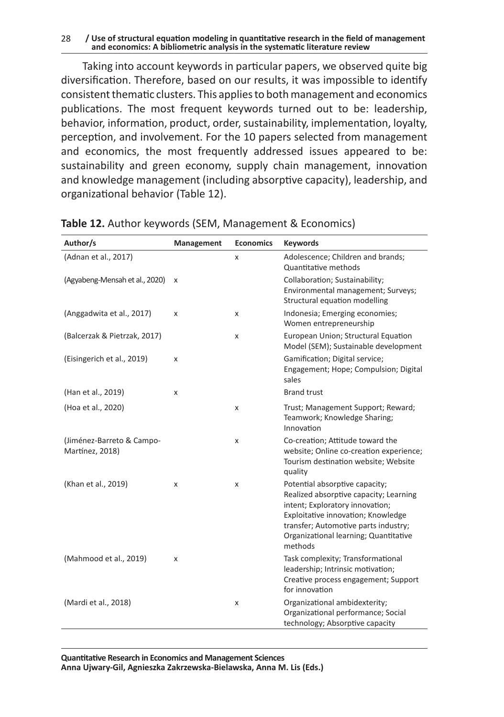#### 28 **/ Use of structural equation modeling in quantitative research in the field of management and economics: A bibliometric analysis in the systematic literature review**

Taking into account keywords in particular papers, we observed quite big diversification. Therefore, based on our results, it was impossible to identify consistent thematic clusters. This applies to both management and economics publications. The most frequent keywords turned out to be: leadership, behavior, information, product, order, sustainability, implementation, loyalty, perception, and involvement. For the 10 papers selected from management and economics, the most frequently addressed issues appeared to be: sustainability and green economy, supply chain management, innovation and knowledge management (including absorptive capacity), leadership, and organizational behavior (Table 12).

| Author/s                                     | Management | <b>Economics</b> | <b>Keywords</b>                                                                                                                                                                                                                               |
|----------------------------------------------|------------|------------------|-----------------------------------------------------------------------------------------------------------------------------------------------------------------------------------------------------------------------------------------------|
| (Adnan et al., 2017)                         |            | x                | Adolescence; Children and brands;<br>Quantitative methods                                                                                                                                                                                     |
| (Agyabeng-Mensah et al., 2020)               | X          |                  | Collaboration; Sustainability;<br>Environmental management; Surveys;<br>Structural equation modelling                                                                                                                                         |
| (Anggadwita et al., 2017)                    | x          | x                | Indonesia; Emerging economies;<br>Women entrepreneurship                                                                                                                                                                                      |
| (Balcerzak & Pietrzak, 2017)                 |            | x                | European Union; Structural Equation<br>Model (SEM); Sustainable development                                                                                                                                                                   |
| (Eisingerich et al., 2019)                   | x          |                  | Gamification; Digital service;<br>Engagement; Hope; Compulsion; Digital<br>sales                                                                                                                                                              |
| (Han et al., 2019)                           | x          |                  | <b>Brand trust</b>                                                                                                                                                                                                                            |
| (Hoa et al., 2020)                           |            | x                | Trust; Management Support; Reward;<br>Teamwork; Knowledge Sharing;<br>Innovation                                                                                                                                                              |
| (Jiménez-Barreto & Campo-<br>Martínez, 2018) |            | x                | Co-creation; Attitude toward the<br>website; Online co-creation experience;<br>Tourism destination website; Website<br>quality                                                                                                                |
| (Khan et al., 2019)                          | x          | x                | Potential absorptive capacity;<br>Realized absorptive capacity; Learning<br>intent; Exploratory innovation;<br>Exploitative innovation; Knowledge<br>transfer; Automotive parts industry;<br>Organizational learning; Quantitative<br>methods |
| (Mahmood et al., 2019)                       | x          |                  | Task complexity; Transformational<br>leadership; Intrinsic motivation;<br>Creative process engagement; Support<br>for innovation                                                                                                              |
| (Mardi et al., 2018)                         |            | X                | Organizational ambidexterity;<br>Organizational performance; Social<br>technology; Absorptive capacity                                                                                                                                        |

**Table 12.** Author keywords (SEM, Management & Economics)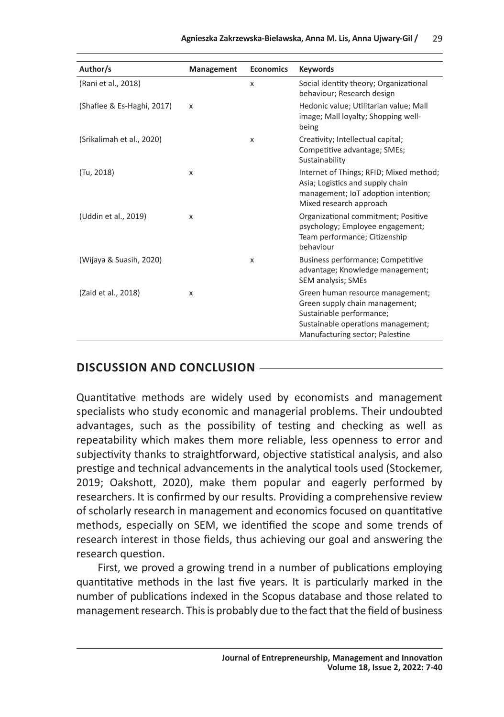| Author/s                   | Management | <b>Economics</b> | <b>Keywords</b>                                                                                                                                                         |
|----------------------------|------------|------------------|-------------------------------------------------------------------------------------------------------------------------------------------------------------------------|
| (Rani et al., 2018)        |            | x                | Social identity theory; Organizational<br>behaviour; Research design                                                                                                    |
| (Shafiee & Es-Haghi, 2017) | X          |                  | Hedonic value; Utilitarian value; Mall<br>image; Mall loyalty; Shopping well-<br>being                                                                                  |
| (Srikalimah et al., 2020)  |            | X                | Creativity; Intellectual capital;<br>Competitive advantage; SMEs;<br>Sustainability                                                                                     |
| (Tu, 2018)                 | X          |                  | Internet of Things; RFID; Mixed method;<br>Asia; Logistics and supply chain<br>management; IoT adoption intention;<br>Mixed research approach                           |
| (Uddin et al., 2019)       | X          |                  | Organizational commitment; Positive<br>psychology; Employee engagement;<br>Team performance; Citizenship<br>behaviour                                                   |
| (Wijaya & Suasih, 2020)    |            | X                | Business performance; Competitive<br>advantage; Knowledge management;<br>SEM analysis; SMEs                                                                             |
| (Zaid et al., 2018)        | X          |                  | Green human resource management;<br>Green supply chain management;<br>Sustainable performance;<br>Sustainable operations management;<br>Manufacturing sector; Palestine |

## **DISCUSSION AND CONCLUSION**

Quantitative methods are widely used by economists and management specialists who study economic and managerial problems. Their undoubted advantages, such as the possibility of testing and checking as well as repeatability which makes them more reliable, less openness to error and subjectivity thanks to straightforward, objective statistical analysis, and also prestige and technical advancements in the analytical tools used (Stockemer, 2019; Oakshott, 2020), make them popular and eagerly performed by researchers. It is confirmed by our results. Providing a comprehensive review of scholarly research in management and economics focused on quantitative methods, especially on SEM, we identified the scope and some trends of research interest in those fields, thus achieving our goal and answering the research question.

First, we proved a growing trend in a number of publications employing quantitative methods in the last five years. It is particularly marked in the number of publications indexed in the Scopus database and those related to management research. This is probably due to the fact that the field of business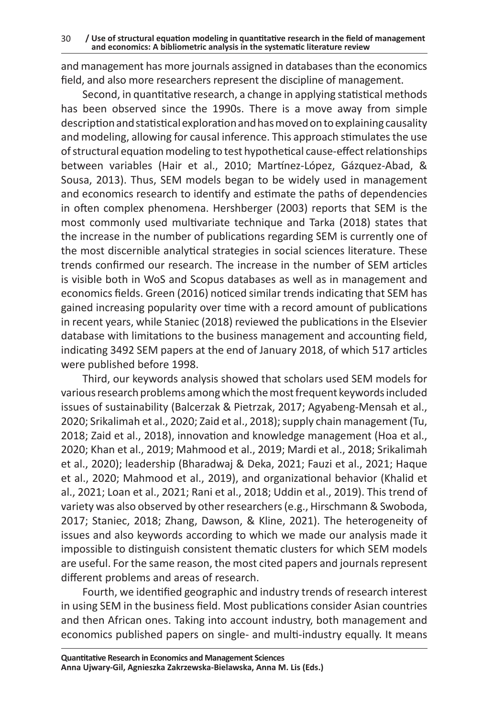and management has more journals assigned in databases than the economics field, and also more researchers represent the discipline of management.

Second, in quantitative research, a change in applying statistical methods has been observed since the 1990s. There is a move away from simple description and statistical exploration and has moved on to explaining causality and modeling, allowing for causal inference. This approach stimulates the use of structural equation modeling to test hypothetical cause-effect relationships between variables (Hair et al., 2010; Martínez‐López, Gázquez‐Abad, & Sousa, 2013). Thus, SEM models began to be widely used in management and economics research to identify and estimate the paths of dependencies in often complex phenomena. Hershberger (2003) reports that SEM is the most commonly used multivariate technique and Tarka (2018) states that the increase in the number of publications regarding SEM is currently one of the most discernible analytical strategies in social sciences literature. These trends confirmed our research. The increase in the number of SEM articles is visible both in WoS and Scopus databases as well as in management and economics fields. Green (2016) noticed similar trends indicating that SEM has gained increasing popularity over time with a record amount of publications in recent years, while Staniec (2018) reviewed the publications in the Elsevier database with limitations to the business management and accounting field, indicating 3492 SEM papers at the end of January 2018, of which 517 articles were published before 1998.

Third, our keywords analysis showed that scholars used SEM models for various research problems among which the most frequent keywords included issues of sustainability (Balcerzak & Pietrzak, 2017; Agyabeng-Mensah et al., 2020; Srikalimah et al., 2020; Zaid et al., 2018); supply chain management (Tu, 2018; Zaid et al., 2018), innovation and knowledge management (Hoa et al., 2020; Khan et al., 2019; Mahmood et al., 2019; Mardi et al., 2018; Srikalimah et al., 2020); leadership (Bharadwaj & Deka, 2021; Fauzi et al., 2021; Haque et al., 2020; Mahmood et al., 2019), and organizational behavior (Khalid et al., 2021; Loan et al., 2021; Rani et al., 2018; Uddin et al., 2019). This trend of variety was also observed by other researchers (e.g., Hirschmann & Swoboda, 2017; Staniec, 2018; Zhang, Dawson, & Kline, 2021). The heterogeneity of issues and also keywords according to which we made our analysis made it impossible to distinguish consistent thematic clusters for which SEM models are useful. For the same reason, the most cited papers and journals represent different problems and areas of research.

Fourth, we identified geographic and industry trends of research interest in using SEM in the business field. Most publications consider Asian countries and then African ones. Taking into account industry, both management and economics published papers on single- and multi-industry equally. It means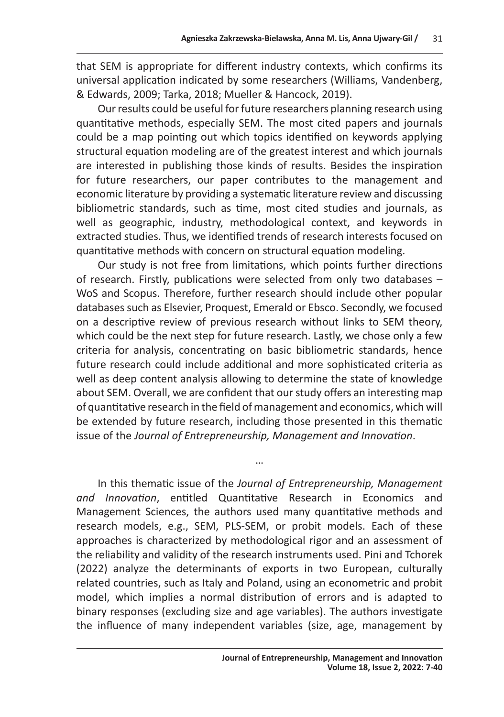that SEM is appropriate for different industry contexts, which confirms its universal application indicated by some researchers (Williams, Vandenberg, & Edwards, 2009; Tarka, 2018; Mueller & Hancock, 2019).

Our results could be useful for future researchers planning research using quantitative methods, especially SEM. The most cited papers and journals could be a map pointing out which topics identified on keywords applying structural equation modeling are of the greatest interest and which journals are interested in publishing those kinds of results. Besides the inspiration for future researchers, our paper contributes to the management and economic literature by providing a systematic literature review and discussing bibliometric standards, such as time, most cited studies and journals, as well as geographic, industry, methodological context, and keywords in extracted studies. Thus, we identified trends of research interests focused on quantitative methods with concern on structural equation modeling.

Our study is not free from limitations, which points further directions of research. Firstly, publications were selected from only two databases – WoS and Scopus. Therefore, further research should include other popular databases such as Elsevier, Proquest, Emerald or Ebsco. Secondly, we focused on a descriptive review of previous research without links to SEM theory, which could be the next step for future research. Lastly, we chose only a few criteria for analysis, concentrating on basic bibliometric standards, hence future research could include additional and more sophisticated criteria as well as deep content analysis allowing to determine the state of knowledge about SEM. Overall, we are confident that our study offers an interesting map of quantitative research in the field of management and economics, which will be extended by future research, including those presented in this thematic issue of the *Journal of Entrepreneurship, Management and Innovation*.

In this thematic issue of the *Journal of Entrepreneurship, Management and Innovation*, entitled Quantitative Research in Economics and Management Sciences, the authors used many quantitative methods and research models, e.g., SEM, PLS-SEM, or probit models. Each of these approaches is characterized by methodological rigor and an assessment of the reliability and validity of the research instruments used. Pini and Tchorek (2022) analyze the determinants of exports in two European, culturally related countries, such as Italy and Poland, using an econometric and probit model, which implies a normal distribution of errors and is adapted to binary responses (excluding size and age variables). The authors investigate the influence of many independent variables (size, age, management by

…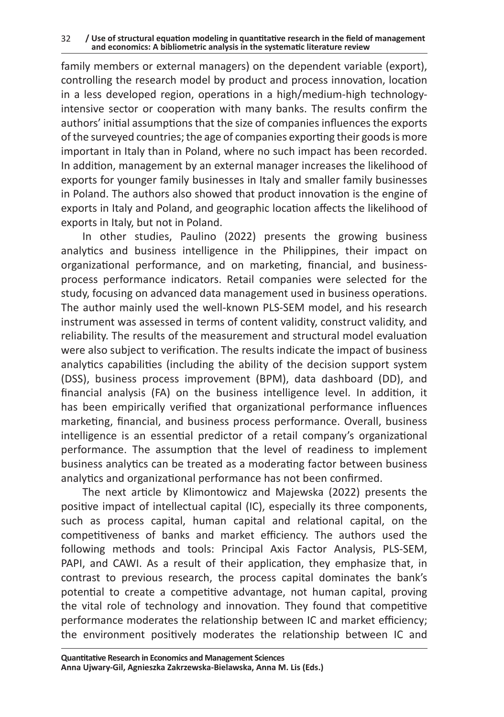family members or external managers) on the dependent variable (export), controlling the research model by product and process innovation, location in a less developed region, operations in a high/medium-high technologyintensive sector or cooperation with many banks. The results confirm the authors' initial assumptions that the size of companies influences the exports of the surveyed countries; the age of companies exporting their goods is more important in Italy than in Poland, where no such impact has been recorded. In addition, management by an external manager increases the likelihood of exports for younger family businesses in Italy and smaller family businesses in Poland. The authors also showed that product innovation is the engine of exports in Italy and Poland, and geographic location affects the likelihood of exports in Italy, but not in Poland.

In other studies, Paulino (2022) presents the growing business analytics and business intelligence in the Philippines, their impact on organizational performance, and on marketing, financial, and businessprocess performance indicators. Retail companies were selected for the study, focusing on advanced data management used in business operations. The author mainly used the well-known PLS-SEM model, and his research instrument was assessed in terms of content validity, construct validity, and reliability. The results of the measurement and structural model evaluation were also subject to verification. The results indicate the impact of business analytics capabilities (including the ability of the decision support system (DSS), business process improvement (BPM), data dashboard (DD), and financial analysis (FA) on the business intelligence level. In addition, it has been empirically verified that organizational performance influences marketing, financial, and business process performance. Overall, business intelligence is an essential predictor of a retail company's organizational performance. The assumption that the level of readiness to implement business analytics can be treated as a moderating factor between business analytics and organizational performance has not been confirmed.

The next article by Klimontowicz and Majewska (2022) presents the positive impact of intellectual capital (IC), especially its three components, such as process capital, human capital and relational capital, on the competitiveness of banks and market efficiency. The authors used the following methods and tools: Principal Axis Factor Analysis, PLS-SEM, PAPI, and CAWI. As a result of their application, they emphasize that, in contrast to previous research, the process capital dominates the bank's potential to create a competitive advantage, not human capital, proving the vital role of technology and innovation. They found that competitive performance moderates the relationship between IC and market efficiency; the environment positively moderates the relationship between IC and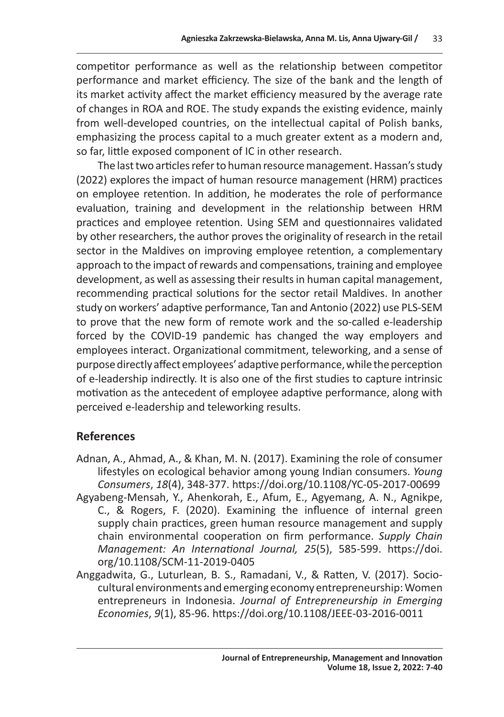competitor performance as well as the relationship between competitor performance and market efficiency. The size of the bank and the length of its market activity affect the market efficiency measured by the average rate of changes in ROA and ROE. The study expands the existing evidence, mainly from well-developed countries, on the intellectual capital of Polish banks, emphasizing the process capital to a much greater extent as a modern and, so far, little exposed component of IC in other research.

The last two articles refer to human resource management. Hassan's study (2022) explores the impact of human resource management (HRM) practices on employee retention. In addition, he moderates the role of performance evaluation, training and development in the relationship between HRM practices and employee retention. Using SEM and questionnaires validated by other researchers, the author proves the originality of research in the retail sector in the Maldives on improving employee retention, a complementary approach to the impact of rewards and compensations, training and employee development, as well as assessing their results in human capital management, recommending practical solutions for the sector retail Maldives. In another study on workers' adaptive performance, Tan and Antonio (2022) use PLS-SEM to prove that the new form of remote work and the so-called e-leadership forced by the COVID-19 pandemic has changed the way employers and employees interact. Organizational commitment, teleworking, and a sense of purpose directly affect employees' adaptive performance, while the perception of e-leadership indirectly. It is also one of the first studies to capture intrinsic motivation as the antecedent of employee adaptive performance, along with perceived e-leadership and teleworking results.

## **References**

- Adnan, A., Ahmad, A., & Khan, M. N. (2017). Examining the role of consumer lifestyles on ecological behavior among young Indian consumers. *Young Consumers*, *18*(4), 348-377. https://doi.org/10.1108/YC-05-2017-00699
- Agyabeng-Mensah, Y., Ahenkorah, E., Afum, E., Agyemang, A. N., Agnikpe, C., & Rogers, F. (2020). Examining the influence of internal green supply chain practices, green human resource management and supply chain environmental cooperation on firm performance. *Supply Chain Management: An International Journal, 25*(5), 585-599. https://doi. org/10.1108/SCM-11-2019-0405
- Anggadwita, G., Luturlean, B. S., Ramadani, V., & Ratten, V. (2017). Sociocultural environments and emerging economy entrepreneurship: Women entrepreneurs in Indonesia. *Journal of Entrepreneurship in Emerging Economies*, *9*(1), 85-96. https://doi.org/10.1108/JEEE-03-2016-0011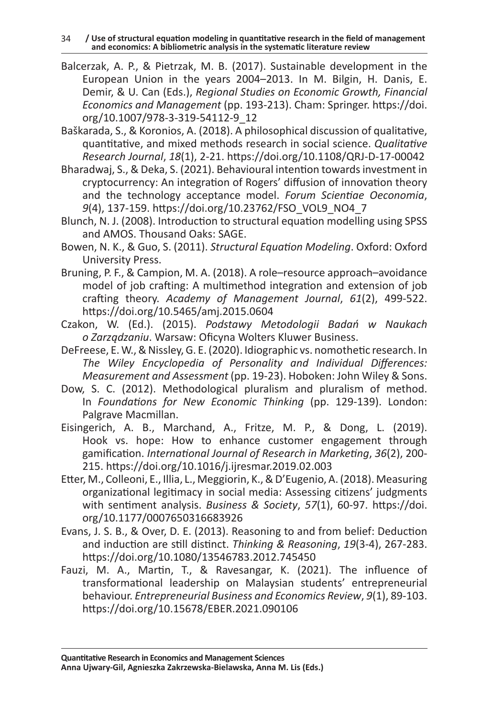34 **/ Use of structural equation modeling in quantitative research in the field of management and economics: A bibliometric analysis in the systematic literature review** 

- Balcerzak, A. P., & Pietrzak, M. B. (2017). Sustainable development in the European Union in the years 2004–2013. In M. Bilgin, H. Danis, E. Demir, & U. Can (Eds.), *Regional Studies on Economic Growth, Financial Economics and Management* (pp. 193-213). Cham: Springer. https://doi. org/10.1007/978-3-319-54112-9\_12
- Baškarada, S., & Koronios, A. (2018). A philosophical discussion of qualitative, quantitative, and mixed methods research in social science. *Qualitative Research Journal*, *18*(1), 2-21. https://doi.org/10.1108/QRJ-D-17-00042
- Bharadwaj, S., & Deka, S. (2021). Behavioural intention towards investment in cryptocurrency: An integration of Rogers' diffusion of innovation theory and the technology acceptance model. *Forum Scientiae Oeconomia*, *9*(4), 137-159. https://doi.org/10.23762/FSO\_VOL9\_NO4\_7
- Blunch, N. J. (2008). Introduction to structural equation modelling using SPSS and AMOS. Thousand Oaks: SAGE.
- Bowen, N. K., & Guo, S. (2011). *Structural Equation Modeling*. Oxford: Oxford University Press.
- Bruning, P. F., & Campion, M. A. (2018). A role–resource approach–avoidance model of job crafting: A multimethod integration and extension of job crafting theory. *Academy of Management Journal*, *61*(2), 499-522. https://doi.org/10.5465/amj.2015.0604
- Czakon, W. (Ed.). (2015). *Podstawy Metodologii Badań w Naukach o Zarządzaniu*. Warsaw: Oficyna Wolters Kluwer Business.
- DeFreese, E. W., & Nissley, G. E. (2020). Idiographic vs. nomothetic research. In *The Wiley Encyclopedia of Personality and Individual Differences: Measurement and Assessment* (pp. 19-23). Hoboken: John Wiley & Sons.
- Dow, S. C. (2012). Methodological pluralism and pluralism of method. In *Foundations for New Economic Thinking* (pp. 129-139). London: Palgrave Macmillan.
- Eisingerich, A. B., Marchand, A., Fritze, M. P., & Dong, L. (2019). Hook vs. hope: How to enhance customer engagement through gamification. *International Journal of Research in Marketing*, *36*(2), 200- 215. https://doi.org/10.1016/j.ijresmar.2019.02.003
- Etter, M., Colleoni, E., Illia, L., Meggiorin, K., & D'Eugenio, A. (2018). Measuring organizational legitimacy in social media: Assessing citizens' judgments with sentiment analysis. *Business & Society*, *57*(1), 60-97. https://doi. org/10.1177/0007650316683926
- Evans, J. S. B., & Over, D. E. (2013). Reasoning to and from belief: Deduction and induction are still distinct. *Thinking & Reasoning*, *19*(3-4), 267-283. https://doi.org/10.1080/13546783.2012.745450
- Fauzi, M. A., Martin, T., & Ravesangar, K. (2021). The influence of transformational leadership on Malaysian students' entrepreneurial behaviour. *Entrepreneurial Business and Economics Review*, *9*(1), 89-103. https://doi.org/10.15678/EBER.2021.090106

**Quantitative Research in Economics and Management Sciences Anna Ujwary-Gil, Agnieszka Zakrzewska-Bielawska, Anna M. Lis (Eds.)**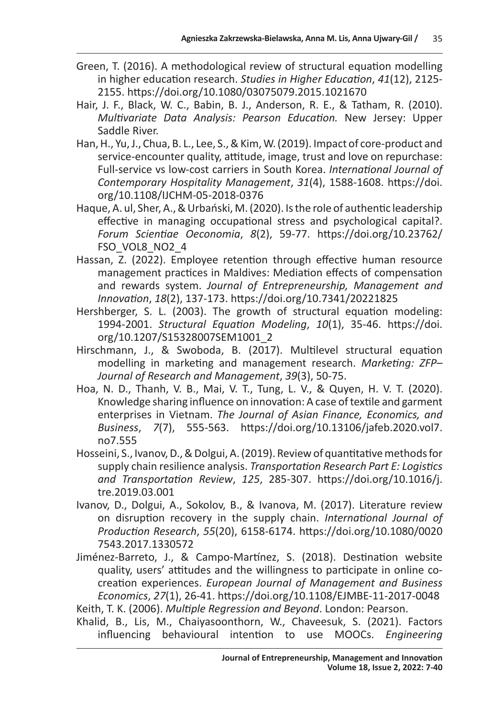- Green, T. (2016). A methodological review of structural equation modelling in higher education research. *Studies in Higher Education*, *41*(12), 2125- 2155. https://doi.org/10.1080/03075079.2015.1021670
- Hair, J. F., Black, W. C., Babin, B. J., Anderson, R. E., & Tatham, R. (2010). *Multivariate Data Analysis: Pearson Education.* New Jersey: Upper Saddle River.
- Han, H., Yu, J., Chua, B. L., Lee, S., & Kim, W. (2019). Impact of core-product and service-encounter quality, attitude, image, trust and love on repurchase: Full-service vs low-cost carriers in South Korea. *International Journal of Contemporary Hospitality Management*, *31*(4), 1588-1608. https://doi. org/10.1108/IJCHM-05-2018-0376
- Haque, A. ul, Sher, A., & Urbański, M. (2020). Is the role of authentic leadership effective in managing occupational stress and psychological capital?. *Forum Scientiae Oeconomia*, *8*(2), 59-77. https://doi.org/10.23762/ FSO\_VOL8\_NO2\_4
- Hassan, Z. (2022). Employee retention through effective human resource management practices in Maldives: Mediation effects of compensation and rewards system. *Journal of Entrepreneurship, Management and Innovation*, *18*(2), 137-173. https://doi.org/10.7341/20221825
- Hershberger, S. L. (2003). The growth of structural equation modeling: 1994-2001. *Structural Equation Modeling*, *10*(1), 35-46. https://doi. org/10.1207/S15328007SEM1001\_2
- Hirschmann, J., & Swoboda, B. (2017). Multilevel structural equation modelling in marketing and management research. *Marketing: ZFP– Journal of Research and Management*, *39*(3), 50-75.
- Hoa, N. D., Thanh, V. B., Mai, V. T., Tung, L. V., & Quyen, H. V. T. (2020). Knowledge sharing influence on innovation: A case of textile and garment enterprises in Vietnam. *The Journal of Asian Finance, Economics, and Business*, *7*(7), 555-563. https://doi.org/10.13106/jafeb.2020.vol7. no7.555
- Hosseini, S., Ivanov, D., & Dolgui, A. (2019). Review of quantitative methods for supply chain resilience analysis. *Transportation Research Part E: Logistics and Transportation Review*, *125*, 285-307. https://doi.org/10.1016/j. tre.2019.03.001
- Ivanov, D., Dolgui, A., Sokolov, B., & Ivanova, M. (2017). Literature review on disruption recovery in the supply chain. *International Journal of Production Research*, *55*(20), 6158-6174. https://doi.org/10.1080/0020 7543.2017.1330572
- Jiménez-Barreto, J., & Campo-Martínez, S. (2018). Destination website quality, users' attitudes and the willingness to participate in online cocreation experiences. *European Journal of Management and Business Economics*, *27*(1), 26-41. https://doi.org/10.1108/EJMBE-11-2017-0048 Keith, T. K. (2006). *Multiple Regression and Beyond*. London: Pearson.
- Khalid, B., Lis, M., Chaiyasoonthorn, W., Chaveesuk, S. (2021). Factors influencing behavioural intention to use MOOCs. *Engineering*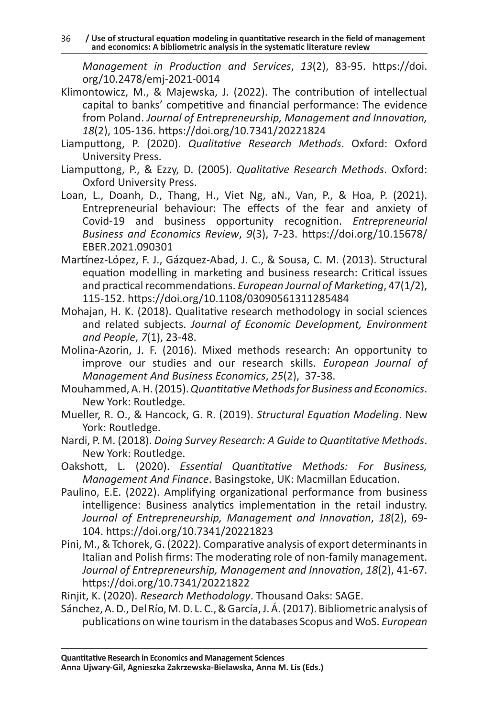*Management in Production and Services*, *13*(2), 83-95. https://doi. org/10.2478/emj-2021-0014

- Klimontowicz, M., & Majewska, J. (2022). The contribution of intellectual capital to banks' competitive and financial performance: The evidence from Poland. *Journal of Entrepreneurship, Management and Innovation, 18*(2), 105-136. https://doi.org/10.7341/20221824
- Liamputtong, P. (2020). *Qualitative Research Methods*. Oxford: Oxford University Press.
- Liamputtong, P., & Ezzy, D. (2005). *Qualitative Research Methods*. Oxford: Oxford University Press.
- Loan, L., Doanh, D., Thang, H., Viet Ng, aN., Van, P., & Hoa, P. (2021). Entrepreneurial behaviour: The effects of the fear and anxiety of Covid-19 and business opportunity recognition. *Entrepreneurial Business and Economics Review*, *9*(3), 7-23. https://doi.org/10.15678/ EBER.2021.090301
- Martínez‐López, F. J., Gázquez‐Abad, J. C., & Sousa, C. M. (2013). Structural equation modelling in marketing and business research: Critical issues and practical recommendations. *European Journal of Marketing*, 47(1/2), 115-152. https://doi.org/10.1108/03090561311285484
- Mohajan, H. K. (2018). Qualitative research methodology in social sciences and related subjects. *Journal of Economic Development, Environment and People*, *7*(1), 23-48.
- Molina-Azorin, J. F. (2016). Mixed methods research: An opportunity to improve our studies and our research skills. *European Journal of Management And Business Economics*, *25*(2), 37-38.
- Mouhammed, A. H. (2015).*Quantitative Methods for Business and Economics*. New York: Routledge.
- Mueller, R. O., & Hancock, G. R. (2019). *Structural Equation Modeling*. New York: Routledge.
- Nardi, P. M. (2018). *Doing Survey Research: A Guide to Quantitative Methods*. New York: Routledge.
- Oakshott, L. (2020). *Essential Quantitative Methods: For Business, Management And Finance*. Basingstoke, UK: Macmillan Education.
- Paulino, E.E. (2022). Amplifying organizational performance from business intelligence: Business analytics implementation in the retail industry. *Journal of Entrepreneurship, Management and Innovation*, *18*(2), 69- 104. https://doi.org/10.7341/20221823
- Pini, M., & Tchorek, G. (2022). Comparative analysis of export determinants in Italian and Polish firms: The moderating role of non-family management. *Journal of Entrepreneurship, Management and Innovation*, *18*(2), 41-67. https://doi.org/10.7341/20221822

Sánchez, A. D., Del Río, M. D. L. C., & García, J. Á. (2017). Bibliometric analysis of publications on wine tourism in the databases Scopus and WoS. *European* 

Rinjit, K. (2020). *Research Methodology*. Thousand Oaks: SAGE.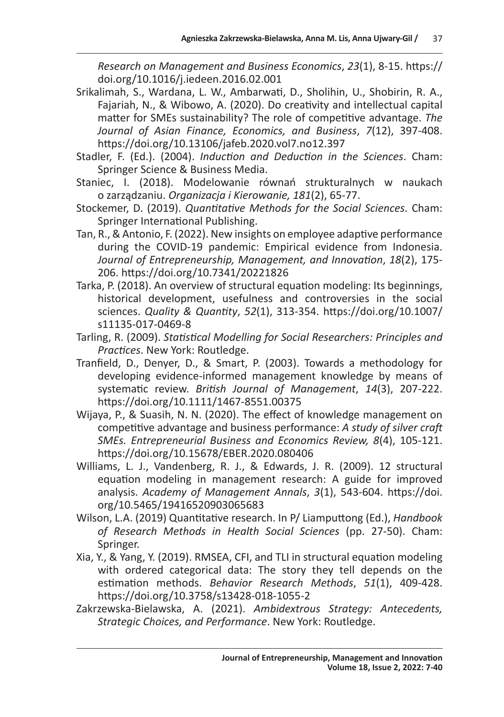*Research on Management and Business Economics*, *23*(1), 8-15. https:// doi.org/10.1016/j.iedeen.2016.02.001

- Srikalimah, S., Wardana, L. W., Ambarwati, D., Sholihin, U., Shobirin, R. A., Fajariah, N., & Wibowo, A. (2020). Do creativity and intellectual capital matter for SMEs sustainability? The role of competitive advantage. *The Journal of Asian Finance, Economics, and Business*, *7*(12), 397-408. https://doi.org/10.13106/jafeb.2020.vol7.no12.397
- Stadler, F. (Ed.). (2004). *Induction and Deduction in the Sciences*. Cham: Springer Science & Business Media.
- Staniec, I. (2018). Modelowanie równań strukturalnych w naukach o zarządzaniu. *Organizacja i Kierowanie, 181*(2), 65-77.
- Stockemer, D. (2019). *Quantitative Methods for the Social Sciences*. Cham: Springer International Publishing.
- Tan, R., & Antonio, F. (2022). New insights on employee adaptive performance during the COVID-19 pandemic: Empirical evidence from Indonesia. *Journal of Entrepreneurship, Management, and Innovation*, *18*(2), 175- 206. https://doi.org/10.7341/20221826
- Tarka, P. (2018). An overview of structural equation modeling: Its beginnings, historical development, usefulness and controversies in the social sciences. *Quality & Quantity*, *52*(1), 313-354. https://doi.org/10.1007/ s11135-017-0469-8
- Tarling, R. (2009). *Statistical Modelling for Social Researchers: Principles and Practices*. New York: Routledge.
- Tranfield, D., Denyer, D., & Smart, P. (2003). Towards a methodology for developing evidence‐informed management knowledge by means of systematic review. *British Journal of Management*, *14*(3), 207-222. https://doi.org/10.1111/1467-8551.00375
- Wijaya, P., & Suasih, N. N. (2020). The effect of knowledge management on competitive advantage and business performance: *A study of silver craft SMEs. Entrepreneurial Business and Economics Review, 8*(4), 105-121. https://doi.org/10.15678/EBER.2020.080406
- Williams, L. J., Vandenberg, R. J., & Edwards, J. R. (2009). 12 structural equation modeling in management research: A guide for improved analysis. *Academy of Management Annals*, *3*(1), 543-604. https://doi. org/10.5465/19416520903065683
- Wilson, L.A. (2019) Quantitative research. In P/ Liamputtong (Ed.), *Handbook of Research Methods in Health Social Sciences* (pp. 27-50). Cham: Springer.
- Xia, Y., & Yang, Y. (2019). RMSEA, CFI, and TLI in structural equation modeling with ordered categorical data: The story they tell depends on the estimation methods. *Behavior Research Methods*, *51*(1), 409-428. https://doi.org/10.3758/s13428-018-1055-2
- Zakrzewska-Bielawska, A. (2021). *Ambidextrous Strategy: Antecedents, Strategic Choices, and Performance*. New York: Routledge.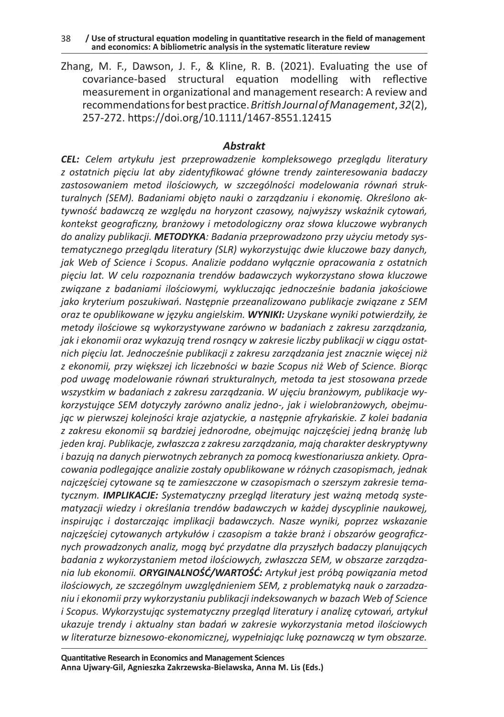38 **/ Use of structural equation modeling in quantitative research in the field of management and economics: A bibliometric analysis in the systematic literature review** 

Zhang, M. F., Dawson, J. F., & Kline, R. B. (2021). Evaluating the use of covariance‐based structural equation modelling with reflective measurement in organizational and management research: A review and recommendations for best practice.*British Journal of Management*,*32*(2), 257-272. https://doi.org/10.1111/1467-8551.12415

#### *Abstrakt*

*CEL: Celem artykułu jest przeprowadzenie kompleksowego przeglądu literatury z ostatnich pięciu lat aby zidentyfikować główne trendy zainteresowania badaczy zastosowaniem metod ilościowych, w szczególności modelowania równań strukturalnych (SEM). Badaniami objęto nauki o zarządzaniu i ekonomię. Określono aktywność badawczą ze względu na horyzont czasowy, najwyższy wskaźnik cytowań, kontekst geograficzny, branżowy i metodologiczny oraz słowa kluczowe wybranych do analizy publikacji. METODYKA: Badania przeprowadzono przy użyciu metody systematycznego przeglądu literatury (SLR) wykorzystując dwie kluczowe bazy danych, jak Web of Science i Scopus. Analizie poddano wyłącznie opracowania z ostatnich pięciu lat. W celu rozpoznania trendów badawczych wykorzystano słowa kluczowe związane z badaniami ilościowymi, wykluczając jednocześnie badania jakościowe jako kryterium poszukiwań. Następnie przeanalizowano publikacje związane z SEM oraz te opublikowane w języku angielskim. WYNIKI: Uzyskane wyniki potwierdziły, że metody ilościowe są wykorzystywane zarówno w badaniach z zakresu zarządzania, jak i ekonomii oraz wykazują trend rosnący w zakresie liczby publikacji w ciągu ostatnich pięciu lat. Jednocześnie publikacji z zakresu zarządzania jest znacznie więcej niż z ekonomii, przy większej ich liczebności w bazie Scopus niż Web of Science. Biorąc pod uwagę modelowanie równań strukturalnych, metoda ta jest stosowana przede wszystkim w badaniach z zakresu zarządzania. W ujęciu branżowym, publikacje wykorzystujące SEM dotyczyły zarówno analiz jedno-, jak i wielobranżowych, obejmując w pierwszej kolejności kraje azjatyckie, a następnie afrykańskie. Z kolei badania z zakresu ekonomii są bardziej jednorodne, obejmując najczęściej jedną branżę lub jeden kraj. Publikacje, zwłaszcza zzakresu zarządzania, mają charakter deskryptywny i bazują na danych pierwotnych zebranych za pomocą kwestionariusza ankiety. Opracowania podlegające analizie zostały opublikowane w różnych czasopismach, jednak najczęściej cytowane są te zamieszczone w czasopismach o szerszym zakresie tematycznym. IMPLIKACJE: Systematyczny przegląd literatury jest ważną metodą systematyzacji wiedzy i określania trendów badawczych w każdej dyscyplinie naukowej, inspirując i dostarczając implikacji badawczych. Nasze wyniki, poprzez wskazanie najczęściej cytowanych artykułów i czasopism a także branż i obszarów geograficznych prowadzonych analiz, mogą być przydatne dla przyszłych badaczy planujących badania z wykorzystaniem metod ilościowych, zwłaszcza SEM, w obszarze zarządzania lub ekonomii. ORYGINALNOŚĆ/WARTOŚĆ: Artykuł jest próbą powiązania metod ilościowych, ze szczególnym uwzględnieniem SEM, z problematyką nauk o zarzadzaniu i ekonomii przy wykorzystaniu publikacji indeksowanych w bazach Web of Science i Scopus. Wykorzystując systematyczny przegląd literatury i analizę cytowań, artykuł ukazuje trendy i aktualny stan badań w zakresie wykorzystania metod ilościowych w literaturze biznesowo-ekonomicznej, wypełniając lukę poznawczą w tym obszarze.*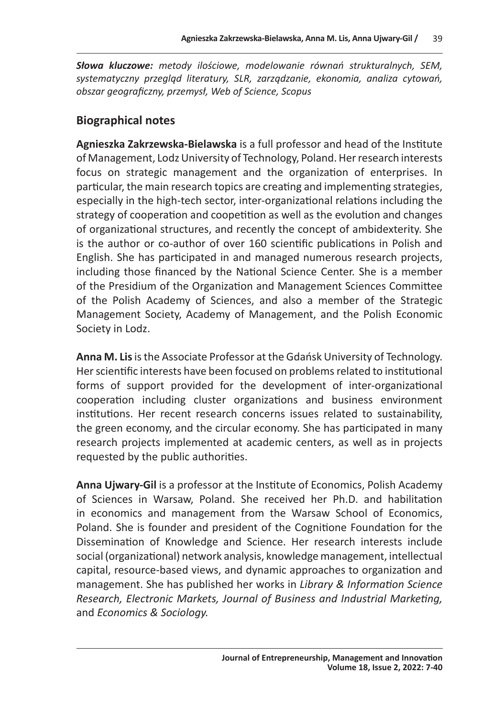*Słowa kluczowe: metody ilościowe, modelowanie równań strukturalnych, SEM, systematyczny przegląd literatury, SLR, zarządzanie, ekonomia, analiza cytowań, obszar geograficzny, przemysł, Web of Science, Scopus*

# **Biographical notes**

**Agnieszka Zakrzewska-Bielawska** is a full professor and head of the Institute of Management, Lodz University of Technology, Poland. Her research interests focus on strategic management and the organization of enterprises. In particular, the main research topics are creating and implementing strategies, especially in the high-tech sector, inter-organizational relations including the strategy of cooperation and coopetition as well as the evolution and changes of organizational structures, and recently the concept of ambidexterity. She is the author or co-author of over 160 scientific publications in Polish and English. She has participated in and managed numerous research projects, including those financed by the National Science Center. She is a member of the Presidium of the Organization and Management Sciences Committee of the Polish Academy of Sciences, and also a member of the Strategic Management Society, Academy of Management, and the Polish Economic Society in Lodz.

**Anna M. Lis** is the Associate Professor at the Gdańsk University of Technology. Her scientific interests have been focused on problems related to institutional forms of support provided for the development of inter-organizational cooperation including cluster organizations and business environment institutions. Her recent research concerns issues related to sustainability, the green economy, and the circular economy. She has participated in many research projects implemented at academic centers, as well as in projects requested by the public authorities.

**Anna Ujwary-Gil** is a professor at the Institute of Economics, Polish Academy of Sciences in Warsaw, Poland. She received her Ph.D. and habilitation in economics and management from the Warsaw School of Economics, Poland. She is founder and president of the Cognitione Foundation for the Dissemination of Knowledge and Science. Her research interests include social (organizational) network analysis, knowledge management, intellectual capital, resource-based views, and dynamic approaches to organization and management. She has published her works in *Library & Information Science Research, Electronic Markets, Journal of Business and Industrial Marketing,*  and *Economics & Sociology.*